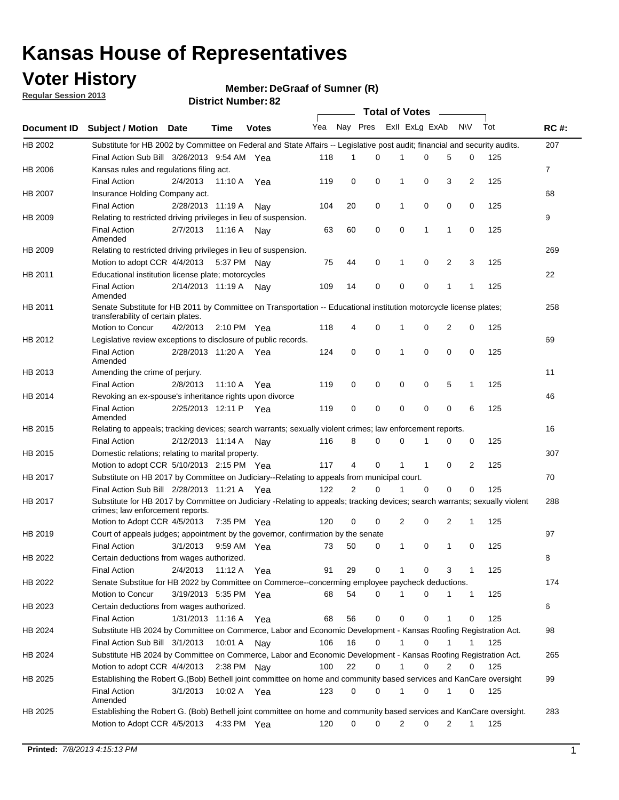### **Voter History**

**Member: DeGraaf of Sumner (R)** 

**Regular Session 2013**

|                    |                                                                                                                                                                |                       | 20. וסעווווטנו של ה   |              |              |    | Total of Votes – |                |              |                |              |     |                |
|--------------------|----------------------------------------------------------------------------------------------------------------------------------------------------------------|-----------------------|-----------------------|--------------|--------------|----|------------------|----------------|--------------|----------------|--------------|-----|----------------|
| <b>Document ID</b> | <b>Subject / Motion Date</b>                                                                                                                                   |                       | Time                  | <b>Votes</b> | Yea Nay Pres |    |                  | Exll ExLg ExAb |              |                | N\V          | Tot | <b>RC#:</b>    |
| HB 2002            | Substitute for HB 2002 by Committee on Federal and State Affairs -- Legislative post audit; financial and security audits.                                     |                       |                       |              |              |    |                  |                |              |                |              |     | 207            |
|                    | Final Action Sub Bill 3/26/2013 9:54 AM Yea                                                                                                                    |                       |                       |              | 118          | 1  | $\Omega$         |                | 0            | 5              | 0            | 125 |                |
| HB 2006            | Kansas rules and regulations filing act.                                                                                                                       |                       |                       |              |              |    |                  |                |              |                |              |     | $\overline{7}$ |
|                    | <b>Final Action</b>                                                                                                                                            | 2/4/2013              | 11:10 A Yea           |              | 119          | 0  | 0                | 1              | 0            | 3              | 2            | 125 |                |
| HB 2007            | Insurance Holding Company act.                                                                                                                                 |                       |                       |              |              |    |                  |                |              |                |              |     | 68             |
|                    | <b>Final Action</b>                                                                                                                                            | 2/28/2013 11:19 A     |                       | Nav          | 104          | 20 | 0                | 1              | 0            | 0              | 0            | 125 |                |
| HB 2009            | Relating to restricted driving privileges in lieu of suspension.                                                                                               |                       |                       |              |              |    |                  |                |              |                |              |     | 9              |
|                    | <b>Final Action</b><br>Amended                                                                                                                                 | 2/7/2013              | 11:16 A               | Nav          | 63           | 60 | 0                | 0              | 1            | 1              | 0            | 125 |                |
| HB 2009            | Relating to restricted driving privileges in lieu of suspension.                                                                                               |                       |                       |              |              |    |                  |                |              |                |              |     | 269            |
|                    | Motion to adopt CCR 4/4/2013                                                                                                                                   |                       | 5:37 PM Nay           |              | 75           | 44 | 0                | 1              | 0            | 2              | 3            | 125 |                |
| HB 2011            | Educational institution license plate; motorcycles                                                                                                             |                       |                       |              |              |    |                  |                |              |                |              |     | 22             |
|                    | <b>Final Action</b><br>Amended                                                                                                                                 | 2/14/2013 11:19 A     |                       | Nav          | 109          | 14 | 0                | 0              | 0            | 1              | 1            | 125 |                |
| HB 2011            | Senate Substitute for HB 2011 by Committee on Transportation -- Educational institution motorcycle license plates;                                             |                       |                       |              |              |    |                  |                |              |                |              |     | 258            |
|                    | transferability of certain plates.                                                                                                                             |                       |                       |              |              |    |                  |                |              |                |              |     |                |
|                    | Motion to Concur                                                                                                                                               | 4/2/2013              | $2:10 \text{ PM}$ Yea |              | 118          | 4  | 0                | $\mathbf 1$    | 0            | $\overline{2}$ | 0            | 125 |                |
| HB 2012            | Legislative review exceptions to disclosure of public records.                                                                                                 |                       |                       |              |              |    |                  |                |              |                |              |     | 69             |
|                    | <b>Final Action</b><br>Amended                                                                                                                                 | 2/28/2013 11:20 A Yea |                       |              | 124          | 0  | 0                | 1              | 0            | 0              | 0            | 125 |                |
| HB 2013            | Amending the crime of perjury.                                                                                                                                 |                       |                       |              |              |    |                  |                |              |                |              |     | 11             |
|                    | <b>Final Action</b>                                                                                                                                            | 2/8/2013              | 11:10 A               | Yea          | 119          | 0  | 0                | 0              | 0            | 5              | 1            | 125 |                |
| HB 2014            | Revoking an ex-spouse's inheritance rights upon divorce                                                                                                        |                       |                       |              |              |    |                  |                |              |                |              |     | 46             |
|                    | <b>Final Action</b><br>Amended                                                                                                                                 | 2/25/2013 12:11 P     |                       | Yea          | 119          | 0  | $\mathbf 0$      | 0              | 0            | 0              | 6            | 125 |                |
| HB 2015            | Relating to appeals; tracking devices; search warrants; sexually violent crimes; law enforcement reports.                                                      |                       |                       |              |              |    |                  |                |              |                |              |     | 16             |
|                    | <b>Final Action</b>                                                                                                                                            | 2/12/2013 11:14 A     |                       | Nav          | 116          | 8  | 0                | 0              | 1            | 0              | 0            | 125 |                |
| HB 2015            | Domestic relations; relating to marital property.                                                                                                              |                       |                       |              |              |    |                  |                |              |                |              |     | 307            |
|                    | Motion to adopt CCR 5/10/2013 2:15 PM Yea                                                                                                                      |                       |                       |              | 117          | 4  | 0                | $\mathbf{1}$   | $\mathbf{1}$ | 0              | 2            | 125 |                |
| HB 2017            | Substitute on HB 2017 by Committee on Judiciary--Relating to appeals from municipal court.                                                                     |                       |                       |              |              |    |                  |                |              |                |              |     | 70             |
|                    | Final Action Sub Bill 2/28/2013 11:21 A Yea                                                                                                                    |                       |                       |              | 122          | 2  | 0                | 1              | 0            | 0              | 0            | 125 |                |
| HB 2017            | Substitute for HB 2017 by Committee on Judiciary -Relating to appeals; tracking devices; search warrants; sexually violent<br>crimes; law enforcement reports. |                       |                       |              |              |    |                  |                |              |                |              |     | 288            |
|                    | Motion to Adopt CCR 4/5/2013                                                                                                                                   |                       | 7:35 PM Yea           |              | 120          | 0  | 0                | $\overline{2}$ | 0            | 2              | 1            | 125 |                |
| HB 2019            | Court of appeals judges; appointment by the governor, confirmation by the senate                                                                               |                       |                       |              |              |    |                  |                |              |                |              |     | 97             |
|                    | Final Action                                                                                                                                                   | 3/1/2013              | 9:59 AM Yea           |              | 73           | 50 | 0                | 1              | 0            | 1              | 0            | 125 |                |
| HB 2022            | Certain deductions from wages authorized.                                                                                                                      |                       |                       |              |              |    |                  |                |              |                |              |     | 8              |
|                    | <b>Final Action</b>                                                                                                                                            | 2/4/2013              | 11:12 A               | Yea          | 91           | 29 | 0                |                | 0            | 3              | 1            | 125 |                |
| HB 2022            | Senate Substitue for HB 2022 by Committee on Commerce--concerming employee paycheck deductions.                                                                |                       |                       |              |              |    |                  |                |              |                |              |     | 174            |
|                    | Motion to Concur                                                                                                                                               | 3/19/2013 5:35 PM Yea |                       |              | 68           | 54 | 0                | 1              | 0            | 1              | $\mathbf{1}$ | 125 |                |
| HB 2023            | Certain deductions from wages authorized.                                                                                                                      |                       |                       |              |              |    |                  |                |              |                |              |     | 6              |
|                    | Final Action                                                                                                                                                   | 1/31/2013 11:16 A     |                       | Yea          | 68           | 56 | 0                | 0              | 0            | 1              | 0            | 125 |                |
| HB 2024            | Substitute HB 2024 by Committee on Commerce, Labor and Economic Development - Kansas Roofing Registration Act.                                                 |                       |                       |              |              |    |                  |                |              |                |              |     | 98             |
|                    | Final Action Sub Bill 3/1/2013                                                                                                                                 |                       | 10:01 A               | Nav          | 106          | 16 | 0                | 1              | 0            | 1              | 1            | 125 |                |
| HB 2024            | Substitute HB 2024 by Committee on Commerce, Labor and Economic Development - Kansas Roofing Registration Act.                                                 |                       |                       |              |              |    |                  |                |              |                |              |     | 265            |
|                    | Motion to adopt CCR 4/4/2013                                                                                                                                   |                       | 2:38 PM               | Nav          | 100          | 22 | 0                | 1              | 0            | 2              | 0            | 125 |                |
| HB 2025            | Establishing the Robert G.(Bob) Bethell joint committee on home and community based services and KanCare oversight                                             |                       |                       |              |              |    |                  |                |              |                |              |     | 99             |
|                    | <b>Final Action</b>                                                                                                                                            | 3/1/2013              | 10:02 A Yea           |              | 123          | 0  | 0                | $\mathbf{1}$   | 0            | 1              | 0            | 125 |                |
|                    | Amended                                                                                                                                                        |                       |                       |              |              |    |                  |                |              |                |              |     |                |
| HB 2025            | Establishing the Robert G. (Bob) Bethell joint committee on home and community based services and KanCare oversight.                                           |                       |                       |              |              |    |                  |                |              |                |              |     | 283            |
|                    | Motion to Adopt CCR 4/5/2013                                                                                                                                   |                       | 4:33 PM Yea           |              | 120          | 0  | 0                | 2              | 0            | 2              | $\mathbf{1}$ | 125 |                |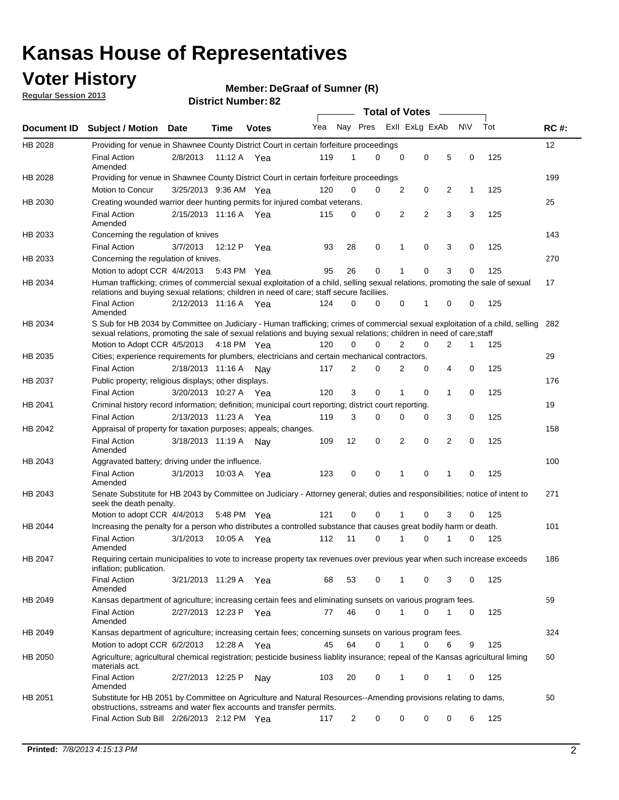### **Voter History**

**Member: DeGraaf of Sumner (R)** 

**Regular Session 2013**

|             |                                                                                                                                                                                                                                                       |                       |         |              |     |                | <b>Total of Votes</b> |   |                |   |           |     |             |
|-------------|-------------------------------------------------------------------------------------------------------------------------------------------------------------------------------------------------------------------------------------------------------|-----------------------|---------|--------------|-----|----------------|-----------------------|---|----------------|---|-----------|-----|-------------|
| Document ID | <b>Subject / Motion Date</b>                                                                                                                                                                                                                          |                       | Time    | <b>Votes</b> | Yea | Nay Pres       |                       |   | Exll ExLg ExAb |   | <b>NV</b> | Tot | <b>RC#:</b> |
| HB 2028     | Providing for venue in Shawnee County District Court in certain forfeiture proceedings                                                                                                                                                                |                       |         |              |     |                |                       |   |                |   |           |     | 12          |
|             | <b>Final Action</b><br>Amended                                                                                                                                                                                                                        | 2/8/2013              |         | 11:12 A Yea  | 119 | 1              | $\Omega$              | 0 | 0              | 5 | 0         | 125 |             |
| HB 2028     | Providing for venue in Shawnee County District Court in certain forfeiture proceedings                                                                                                                                                                |                       |         |              |     |                |                       |   |                |   |           |     | 199         |
|             | Motion to Concur                                                                                                                                                                                                                                      | 3/25/2013 9:36 AM Yea |         |              | 120 | 0              | 0                     | 2 | 0              | 2 | 1         | 125 |             |
| HB 2030     | Creating wounded warrior deer hunting permits for injured combat veterans.                                                                                                                                                                            |                       |         |              |     |                |                       |   |                |   |           |     | 25          |
|             | <b>Final Action</b><br>Amended                                                                                                                                                                                                                        | 2/15/2013 11:16 A     |         | Yea          | 115 | 0              | 0                     | 2 | $\overline{2}$ | 3 | 3         | 125 |             |
| HB 2033     | Concerning the regulation of knives                                                                                                                                                                                                                   |                       |         |              |     |                |                       |   |                |   |           |     | 143         |
|             | <b>Final Action</b>                                                                                                                                                                                                                                   | 3/7/2013              | 12:12 P | Yea          | 93  | 28             | 0                     | 1 | 0              | 3 | 0         | 125 |             |
| HB 2033     | Concerning the regulation of knives.                                                                                                                                                                                                                  |                       |         |              |     |                |                       |   |                |   |           |     | 270         |
|             | Motion to adopt CCR 4/4/2013                                                                                                                                                                                                                          |                       |         | 5:43 PM Yea  | 95  | 26             | 0                     |   | 0              | 3 | 0         | 125 |             |
| HB 2034     | Human trafficking; crimes of commercial sexual exploitation of a child, selling sexual relations, promoting the sale of sexual<br>relations and buying sexual relations; children in need of care; staff secure faciliies.                            |                       |         |              |     |                |                       |   |                |   |           |     | 17          |
|             | <b>Final Action</b><br>Amended                                                                                                                                                                                                                        | 2/12/2013 11:16 A Yea |         |              | 124 | $\Omega$       | $\Omega$              | 0 | 1              | 0 | 0         | 125 |             |
| HB 2034     | S Sub for HB 2034 by Committee on Judiciary - Human trafficking; crimes of commercial sexual exploitation of a child, selling<br>sexual relations, promoting the sale of sexual relations and buying sexual relations; children in need of care;staff |                       |         |              |     |                |                       |   |                |   |           |     | 282         |
|             | Motion to Adopt CCR 4/5/2013 4:18 PM Yea                                                                                                                                                                                                              |                       |         |              | 120 | 0              | 0                     | 2 | 0              | 2 | 1         | 125 |             |
| HB 2035     | Cities; experience requirements for plumbers, electricians and certain mechanical contractors.                                                                                                                                                        |                       |         |              |     |                |                       |   |                |   |           |     | 29          |
|             | <b>Final Action</b>                                                                                                                                                                                                                                   | 2/18/2013 11:16 A     |         | Nav          | 117 | 2              | 0                     | 2 | 0              | 4 | 0         | 125 |             |
| HB 2037     | Public property; religious displays; other displays.                                                                                                                                                                                                  |                       |         |              |     |                |                       |   |                |   |           |     | 176         |
|             | <b>Final Action</b>                                                                                                                                                                                                                                   | 3/20/2013 10:27 A     |         | Yea          | 120 | 3              | 0                     | 1 | 0              | 1 | 0         | 125 |             |
| HB 2041     | Criminal history record information; definition; municipal court reporting; district court reporting.                                                                                                                                                 |                       |         |              |     |                |                       |   |                |   |           |     | 19          |
|             | <b>Final Action</b>                                                                                                                                                                                                                                   | 2/13/2013 11:23 A     |         | Yea          | 119 | 3              | 0                     | 0 | 0              | 3 | 0         | 125 |             |
| HB 2042     | Appraisal of property for taxation purposes; appeals; changes.                                                                                                                                                                                        |                       |         |              |     |                |                       |   |                |   |           |     | 158         |
|             | <b>Final Action</b><br>Amended                                                                                                                                                                                                                        | 3/18/2013 11:19 A     |         | Nav          | 109 | 12             | 0                     | 2 | 0              | 2 | 0         | 125 |             |
| HB 2043     | Aggravated battery; driving under the influence.                                                                                                                                                                                                      |                       |         |              |     |                |                       |   |                |   |           |     | 100         |
|             | <b>Final Action</b><br>Amended                                                                                                                                                                                                                        | 3/1/2013              |         | 10:03 A Yea  | 123 | 0              | 0                     |   | 0              | 1 | 0         | 125 |             |
| HB 2043     | Senate Substitute for HB 2043 by Committee on Judiciary - Attorney general; duties and responsibilities; notice of intent to<br>seek the death penalty.                                                                                               |                       |         |              |     |                |                       |   |                |   |           |     | 271         |
|             | Motion to adopt CCR 4/4/2013                                                                                                                                                                                                                          |                       |         | 5:48 PM Yea  | 121 | 0              | 0                     |   | 0              | 3 | 0         | 125 |             |
| HB 2044     | Increasing the penalty for a person who distributes a controlled substance that causes great bodily harm or death.                                                                                                                                    |                       |         |              |     |                |                       |   |                |   |           |     | 101         |
|             | <b>Final Action</b><br>Amended                                                                                                                                                                                                                        | 3/1/2013              | 10:05 A | Yea          | 112 | 11             | 0                     |   | 0              |   | 0         | 125 |             |
| HB 2047     | Requiring certain municipalities to vote to increase property tax revenues over previous year when such increase exceeds<br>inflation; publication.                                                                                                   |                       |         |              |     |                |                       |   |                |   |           |     | 186         |
|             | <b>Final Action</b><br>Amended                                                                                                                                                                                                                        | 3/21/2013 11:29 A Yea |         |              | 68  | 53             | 0                     |   | 0              | 3 | 0         | 125 |             |
| HB 2049     | Kansas department of agriculture; increasing certain fees and eliminating sunsets on various program fees.                                                                                                                                            |                       |         |              |     |                |                       |   |                |   |           |     | 59          |
|             | <b>Final Action</b><br>Amended                                                                                                                                                                                                                        | 2/27/2013 12:23 P Yea |         |              | 77  | 46             | 0                     | 1 | 0              | 1 | 0         | 125 |             |
| HB 2049     | Kansas department of agriculture; increasing certain fees; concerning sunsets on various program fees.                                                                                                                                                |                       |         |              |     |                |                       |   |                |   |           |     | 324         |
|             | Motion to adopt CCR 6/2/2013                                                                                                                                                                                                                          |                       | 12:28 A | Yea          | 45  | 64             | 0                     |   | 0              | 6 | 9         | 125 |             |
| HB 2050     | Agriculture; agricultural chemical registration; pesticide business liablity insurance; repeal of the Kansas agricultural liming<br>materials act.                                                                                                    |                       |         |              |     |                |                       |   |                |   |           |     | 60          |
|             | <b>Final Action</b><br>Amended                                                                                                                                                                                                                        | 2/27/2013 12:25 P     |         | Nay          | 103 | 20             | 0                     | 1 | 0              | 1 | 0         | 125 |             |
| HB 2051     | Substitute for HB 2051 by Committee on Agriculture and Natural Resources--Amending provisions relating to dams,<br>obstructions, sstreams and water flex accounts and transfer permits.                                                               |                       |         |              |     |                |                       |   |                |   |           |     | 50          |
|             | Final Action Sub Bill 2/26/2013 2:12 PM Yea                                                                                                                                                                                                           |                       |         |              | 117 | $\overline{c}$ | 0                     | 0 | 0              | 0 | 6         | 125 |             |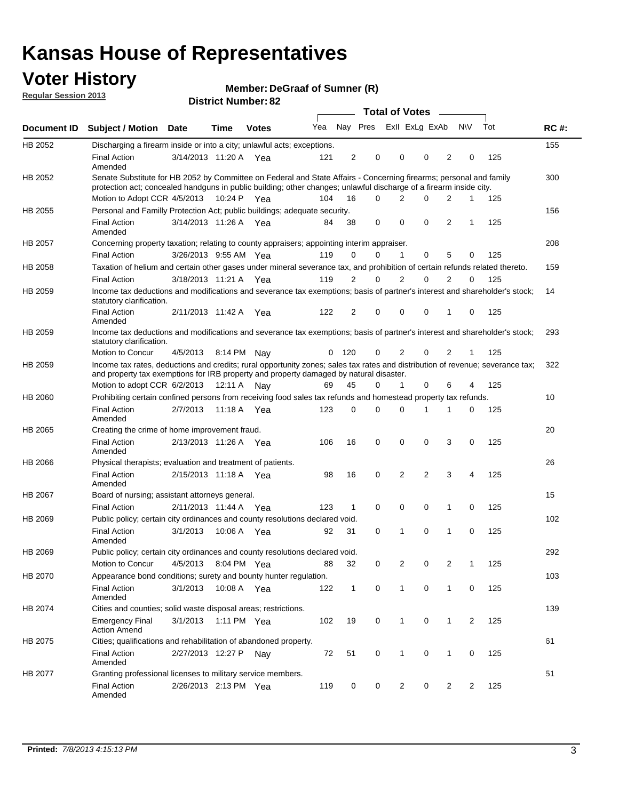### **Voter History**

**Member: DeGraaf of Sumner (R)** 

**Regular Session 2013**

|                |                                                                                                                                                                                                                                          |                       |             |              |     |              |                         | Total of Votes __ |             |                |                |     |             |
|----------------|------------------------------------------------------------------------------------------------------------------------------------------------------------------------------------------------------------------------------------------|-----------------------|-------------|--------------|-----|--------------|-------------------------|-------------------|-------------|----------------|----------------|-----|-------------|
| Document ID    | <b>Subject / Motion</b>                                                                                                                                                                                                                  | Date                  | Time        | <b>Votes</b> | Yea |              | Nay Pres Exll ExLg ExAb |                   |             |                | N\V            | Tot | <b>RC#:</b> |
| HB 2052        | Discharging a firearm inside or into a city; unlawful acts; exceptions.                                                                                                                                                                  |                       |             |              |     |              |                         |                   |             |                |                |     | 155         |
|                | <b>Final Action</b><br>Amended                                                                                                                                                                                                           | 3/14/2013 11:20 A Yea |             |              | 121 | 2            | 0                       | 0                 | 0           | $\overline{2}$ | 0              | 125 |             |
| HB 2052        | Senate Substitute for HB 2052 by Committee on Federal and State Affairs - Concerning firearms; personal and family<br>protection act; concealed handguns in public building; other changes; unlawful discharge of a firearm inside city. |                       |             |              |     |              |                         |                   |             |                |                |     | 300         |
|                | Motion to Adopt CCR 4/5/2013                                                                                                                                                                                                             |                       | 10:24 P Yea |              | 104 | 16           | $\Omega$                | 2                 | 0           | 2              | 1              | 125 |             |
| HB 2055        | Personal and Familly Protection Act; public buildings; adequate security.                                                                                                                                                                |                       |             |              |     |              |                         |                   |             |                |                |     | 156         |
|                | <b>Final Action</b><br>Amended                                                                                                                                                                                                           | 3/14/2013 11:26 A Yea |             |              | 84  | 38           | 0                       | 0                 | 0           | 2              | 1              | 125 |             |
| <b>HB 2057</b> | Concerning property taxation; relating to county appraisers; appointing interim appraiser.                                                                                                                                               |                       |             |              |     |              |                         |                   |             |                |                |     | 208         |
|                | <b>Final Action</b>                                                                                                                                                                                                                      | 3/26/2013 9:55 AM Yea |             |              | 119 | 0            | 0                       | 1                 | 0           | 5              | 0              | 125 |             |
| HB 2058        | Taxation of helium and certain other gases under mineral severance tax, and prohibition of certain refunds related thereto.                                                                                                              |                       |             |              |     |              |                         |                   |             |                |                |     | 159         |
|                | <b>Final Action</b>                                                                                                                                                                                                                      | 3/18/2013 11:21 A Yea |             |              | 119 | 2            | 0                       | $\overline{2}$    | 0           | 2              | $\Omega$       | 125 |             |
| HB 2059        | Income tax deductions and modifications and severance tax exemptions; basis of partner's interest and shareholder's stock;<br>statutory clarification.                                                                                   |                       |             |              |     |              |                         |                   |             |                |                |     | 14          |
|                | <b>Final Action</b><br>Amended                                                                                                                                                                                                           | 2/11/2013 11:42 A     |             | Yea          | 122 | 2            | 0                       | 0                 | 0           | 1              | 0              | 125 |             |
| HB 2059        | Income tax deductions and modifications and severance tax exemptions; basis of partner's interest and shareholder's stock;<br>statutory clarification.                                                                                   |                       |             |              |     |              |                         |                   |             |                |                |     | 293         |
|                | Motion to Concur                                                                                                                                                                                                                         | 4/5/2013              |             | 8:14 PM Nay  | 0   | 120          | 0                       | 2                 | 0           | 2              | 1              | 125 |             |
| HB 2059        | Income tax rates, deductions and credits; rural opportunity zones; sales tax rates and distribution of revenue; severance tax;<br>and property tax exemptions for IRB property and property damaged by natural disaster.                 |                       |             |              |     |              |                         |                   |             |                |                |     | 322         |
|                | Motion to adopt CCR 6/2/2013                                                                                                                                                                                                             |                       | 12:11 A     | Nay          | 69  | 45           | 0                       | 1                 | 0           | 6              | 4              | 125 |             |
| <b>HB 2060</b> | Prohibiting certain confined persons from receiving food sales tax refunds and homestead property tax refunds.                                                                                                                           |                       |             |              |     |              |                         |                   |             |                |                |     | 10          |
|                | <b>Final Action</b><br>Amended                                                                                                                                                                                                           | 2/7/2013              | 11:18 A     | Yea          | 123 | 0            | 0                       | $\Omega$          | 1           | 1              | 0              | 125 |             |
| HB 2065        | Creating the crime of home improvement fraud.                                                                                                                                                                                            |                       |             |              |     |              |                         |                   |             |                |                |     | 20          |
|                | <b>Final Action</b><br>Amended                                                                                                                                                                                                           | 2/13/2013 11:26 A Yea |             |              | 106 | 16           | 0                       | $\mathbf 0$       | $\Omega$    | 3              | 0              | 125 |             |
| HB 2066        | Physical therapists; evaluation and treatment of patients.                                                                                                                                                                               |                       |             |              |     |              |                         |                   |             |                |                |     | 26          |
|                | <b>Final Action</b><br>Amended                                                                                                                                                                                                           | 2/15/2013 11:18 A Yea |             |              | 98  | 16           | 0                       | 2                 | 2           | 3              | 4              | 125 |             |
| <b>HB 2067</b> | Board of nursing; assistant attorneys general.                                                                                                                                                                                           |                       |             |              |     |              |                         |                   |             |                |                |     | 15          |
|                | <b>Final Action</b>                                                                                                                                                                                                                      | 2/11/2013 11:44 A Yea |             |              | 123 | 1            | $\mathbf 0$             | 0                 | $\mathbf 0$ | 1              | 0              | 125 |             |
| HB 2069        | Public policy; certain city ordinances and county resolutions declared void.                                                                                                                                                             |                       |             |              |     |              |                         |                   |             |                |                |     | 102         |
|                | <b>Final Action</b><br>Amended                                                                                                                                                                                                           | 3/1/2013              | 10:06 A     | Yea          | 92  | 31           | 0                       | 1                 | 0           | 1              | 0              | 125 |             |
| HB 2069        | Public policy; certain city ordinances and county resolutions declared void.                                                                                                                                                             |                       |             |              |     |              |                         |                   |             |                |                |     | 292         |
|                | Motion to Concur                                                                                                                                                                                                                         | 4/5/2013              |             | 8:04 PM Yea  | 88  | 32           | 0                       | 2                 | 0           | 2              | 1              | 125 |             |
| HB 2070        | Appearance bond conditions; surety and bounty hunter regulation.                                                                                                                                                                         |                       |             |              |     |              |                         |                   |             |                |                |     | 103         |
|                | <b>Final Action</b><br>Amended                                                                                                                                                                                                           | 3/1/2013              |             | 10:08 A Yea  | 122 | $\mathbf{1}$ | 0                       | 1                 | 0           | $\mathbf{1}$   | 0              | 125 |             |
| HB 2074        | Cities and counties; solid waste disposal areas; restrictions.                                                                                                                                                                           |                       |             |              |     |              |                         |                   |             |                |                |     | 139         |
|                | <b>Emergency Final</b><br><b>Action Amend</b>                                                                                                                                                                                            | 3/1/2013              |             | 1:11 PM Yea  | 102 | 19           | 0                       | $\mathbf{1}$      | 0           | $\mathbf{1}$   | $\overline{2}$ | 125 |             |
| HB 2075        | Cities; qualifications and rehabilitation of abandoned property.                                                                                                                                                                         |                       |             |              |     |              |                         |                   |             |                |                |     | 61          |
|                | <b>Final Action</b><br>Amended                                                                                                                                                                                                           | 2/27/2013 12:27 P     |             | Nav          | 72  | 51           | 0                       | 1                 | 0           | 1              | 0              | 125 |             |
| HB 2077        | Granting professional licenses to military service members.                                                                                                                                                                              |                       |             |              |     |              |                         |                   |             |                |                |     | 51          |
|                | <b>Final Action</b><br>Amended                                                                                                                                                                                                           | 2/26/2013 2:13 PM Yea |             |              | 119 | 0            | 0                       | 2                 | 0           | $\overline{2}$ | 2              | 125 |             |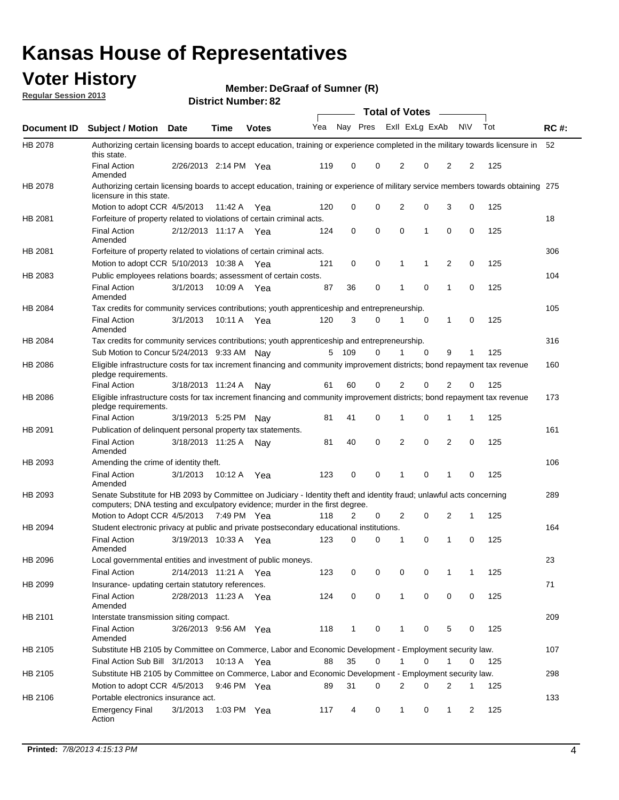### **Voter History**

**Member: DeGraaf of Sumner (R)** 

**Regular Session 2013**

|                    |                                                                                                                                                                                                       |                       |             |              |     |          |   | Total of Votes |             |              |           |     |             |
|--------------------|-------------------------------------------------------------------------------------------------------------------------------------------------------------------------------------------------------|-----------------------|-------------|--------------|-----|----------|---|----------------|-------------|--------------|-----------|-----|-------------|
| <b>Document ID</b> | Subject / Motion Date                                                                                                                                                                                 |                       | <b>Time</b> | <b>Votes</b> | Yea | Nay Pres |   | Exll ExLg ExAb |             |              | <b>NV</b> | Tot | <b>RC#:</b> |
| HB 2078            | Authorizing certain licensing boards to accept education, training or experience completed in the military towards licensure in<br>this state.                                                        |                       |             |              |     |          |   |                |             |              |           |     | 52          |
|                    | <b>Final Action</b><br>Amended                                                                                                                                                                        | 2/26/2013 2:14 PM Yea |             |              | 119 | 0        | 0 | 2              | 0           | 2            | 2         | 125 |             |
| HB 2078            | Authorizing certain licensing boards to accept education, training or experience of military service members towards obtaining 275<br>licensure in this state.                                        |                       |             |              |     |          |   |                |             |              |           |     |             |
|                    | Motion to adopt CCR 4/5/2013                                                                                                                                                                          |                       | 11:42 A     | Yea          | 120 | 0        | 0 | $\overline{2}$ | 0           | 3            | 0         | 125 |             |
| HB 2081            | Forfeiture of property related to violations of certain criminal acts.                                                                                                                                |                       |             |              |     |          |   |                |             |              |           |     | 18          |
|                    | <b>Final Action</b><br>Amended                                                                                                                                                                        | 2/12/2013 11:17 A Yea |             |              | 124 | 0        | 0 | 0              | 1           | 0            | 0         | 125 |             |
| HB 2081            | Forfeiture of property related to violations of certain criminal acts.                                                                                                                                |                       |             |              |     |          |   |                |             |              |           |     | 306         |
|                    | Motion to adopt CCR 5/10/2013 10:38 A                                                                                                                                                                 |                       |             | Yea          | 121 | 0        | 0 | 1              | 1           | 2            | 0         | 125 |             |
| HB 2083            | Public employees relations boards; assessment of certain costs.                                                                                                                                       |                       |             |              |     |          |   |                |             |              |           |     | 104         |
|                    | <b>Final Action</b><br>Amended                                                                                                                                                                        | 3/1/2013              | 10:09 A     | Yea          | 87  | 36       | 0 | 1              | 0           | 1            | 0         | 125 |             |
| HB 2084            | Tax credits for community services contributions; youth apprenticeship and entrepreneurship.                                                                                                          |                       |             |              |     |          |   |                |             |              |           |     | 105         |
|                    | <b>Final Action</b><br>Amended                                                                                                                                                                        | 3/1/2013              | 10:11 A Yea |              | 120 | 3        | 0 | 1              | 0           | 1            | 0         | 125 |             |
| HB 2084            | Tax credits for community services contributions; youth apprenticeship and entrepreneurship.                                                                                                          |                       |             |              |     |          |   |                |             |              |           |     | 316         |
|                    | Sub Motion to Concur 5/24/2013 9:33 AM Nay                                                                                                                                                            |                       |             |              |     | 5 109    | 0 | 1              | $\mathbf 0$ | 9            | 1         | 125 |             |
| HB 2086            | Eligible infrastructure costs for tax increment financing and community improvement districts; bond repayment tax revenue<br>pledge requirements.                                                     |                       |             |              |     |          |   |                |             |              |           |     | 160         |
|                    | <b>Final Action</b>                                                                                                                                                                                   | 3/18/2013 11:24 A     |             | Nav          | 61  | 60       | 0 | 2              | 0           | 2            | 0         | 125 |             |
| HB 2086            | Eligible infrastructure costs for tax increment financing and community improvement districts; bond repayment tax revenue<br>pledge requirements.                                                     |                       |             |              |     |          |   |                |             |              |           |     | 173         |
|                    | <b>Final Action</b>                                                                                                                                                                                   | 3/19/2013 5:25 PM     |             | Nav          | 81  | 41       | 0 | 1              | 0           | 1            | 1         | 125 |             |
| HB 2091            | Publication of delinquent personal property tax statements.                                                                                                                                           |                       |             |              |     |          |   |                |             |              |           |     | 161         |
|                    | <b>Final Action</b><br>Amended                                                                                                                                                                        | 3/18/2013 11:25 A     |             | Nav          | 81  | 40       | 0 | $\overline{2}$ | $\mathbf 0$ | 2            | 0         | 125 |             |
| HB 2093            | Amending the crime of identity theft.                                                                                                                                                                 |                       |             |              |     |          |   |                |             |              |           |     | 106         |
|                    | <b>Final Action</b><br>Amended                                                                                                                                                                        | 3/1/2013              | 10:12 A Yea |              | 123 | 0        | 0 | 1              | 0           | 1            | $\Omega$  | 125 |             |
| HB 2093            | Senate Substitute for HB 2093 by Committee on Judiciary - Identity theft and identity fraud; unlawful acts concerning<br>computers; DNA testing and exculpatory evidence; murder in the first degree. |                       |             |              |     |          |   |                |             |              |           |     | 289         |
|                    | Motion to Adopt CCR 4/5/2013 7:49 PM Yea                                                                                                                                                              |                       |             |              | 118 | 2        | 0 | 2              | 0           | 2            | 1         | 125 |             |
| HB 2094            | Student electronic privacy at public and private postsecondary educational institutions.                                                                                                              |                       |             |              |     |          |   |                |             |              |           |     | 164         |
|                    | <b>Final Action</b><br>Amended                                                                                                                                                                        | 3/19/2013 10:33 A     |             | Yea          | 123 | 0        | 0 | 1              | 0           | 1            | 0         | 125 |             |
| HB 2096            | Local governmental entities and investment of public moneys.                                                                                                                                          |                       |             |              |     |          |   |                |             |              |           |     | 23          |
|                    | <b>Final Action</b>                                                                                                                                                                                   | 2/14/2013 11:21 A Yea |             |              | 123 | 0        | 0 | 0              | 0           | 1            | 1         | 125 |             |
| HB 2099            | Insurance- updating certain statutory references.                                                                                                                                                     |                       |             |              |     |          |   |                |             |              |           |     | 71          |
|                    | <b>Final Action</b><br>Amended                                                                                                                                                                        | 2/28/2013 11:23 A Yea |             |              | 124 | 0        | 0 | $\mathbf{1}$   | 0           | 0            | 0         | 125 |             |
| HB 2101            | Interstate transmission siting compact.                                                                                                                                                               |                       |             |              |     |          |   |                |             |              |           |     | 209         |
|                    | Final Action<br>Amended                                                                                                                                                                               | 3/26/2013 9:56 AM Yea |             |              | 118 | 1        | 0 | 1              | 0           | 5            | 0         | 125 |             |
| HB 2105            | Substitute HB 2105 by Committee on Commerce, Labor and Economic Development - Employment security law.                                                                                                |                       |             |              |     |          |   |                |             |              |           |     | 107         |
|                    | Final Action Sub Bill 3/1/2013                                                                                                                                                                        |                       | 10:13 A Yea |              | 88  | 35       | 0 |                | 0           | 1            | 0         | 125 |             |
| HB 2105            | Substitute HB 2105 by Committee on Commerce, Labor and Economic Development - Employment security law.                                                                                                |                       |             |              |     |          |   |                |             |              |           |     | 298         |
|                    | Motion to adopt CCR 4/5/2013                                                                                                                                                                          |                       | 9:46 PM Yea |              | 89  | 31       | 0 | 2              | 0           | 2            | 1         | 125 |             |
| HB 2106            | Portable electronics insurance act.                                                                                                                                                                   |                       |             |              |     |          |   |                |             |              |           |     | 133         |
|                    | Emergency Final<br>Action                                                                                                                                                                             | 3/1/2013              | 1:03 PM Yea |              | 117 | 4        | 0 | $\mathbf{1}$   | 0           | $\mathbf{1}$ | 2         | 125 |             |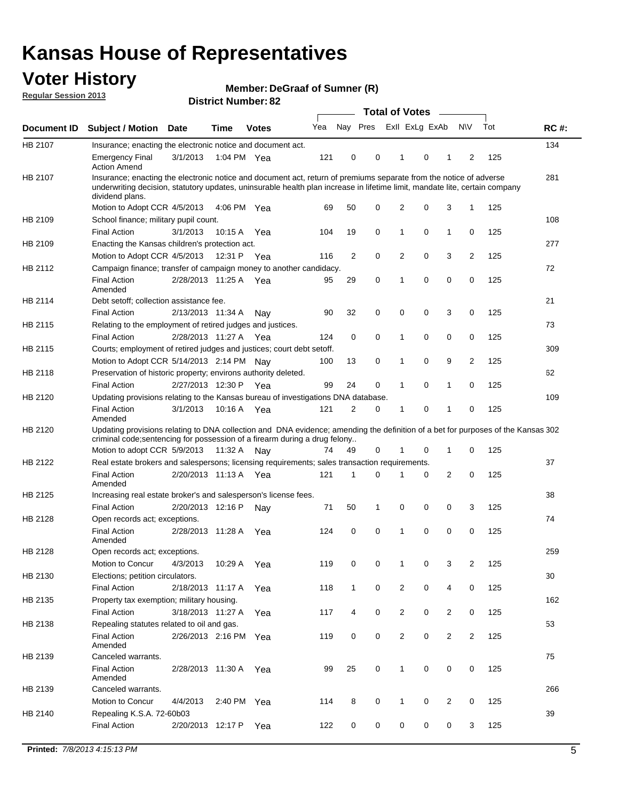### **Voter History**

**Member: DeGraaf of Sumner (R)** 

**Regular Session 2013**

|             |                                                                                                                                                                                                                                                                      |                       |             |              |     |              |                         | <b>Total of Votes</b> |   | $\sim$         |                |     |             |
|-------------|----------------------------------------------------------------------------------------------------------------------------------------------------------------------------------------------------------------------------------------------------------------------|-----------------------|-------------|--------------|-----|--------------|-------------------------|-----------------------|---|----------------|----------------|-----|-------------|
| Document ID | <b>Subject / Motion</b>                                                                                                                                                                                                                                              | Date                  | <b>Time</b> | <b>Votes</b> | Yea |              | Nay Pres Exll ExLg ExAb |                       |   |                | <b>NV</b>      | Tot | <b>RC#:</b> |
| HB 2107     | Insurance; enacting the electronic notice and document act.                                                                                                                                                                                                          |                       |             |              |     |              |                         |                       |   |                |                |     | 134         |
|             | <b>Emergency Final</b><br><b>Action Amend</b>                                                                                                                                                                                                                        | 3/1/2013              | 1:04 PM Yea |              | 121 | 0            | 0                       | 1                     | 0 | 1              | 2              | 125 |             |
| HB 2107     | Insurance; enacting the electronic notice and document act, return of premiums separate from the notice of adverse<br>underwriting decision, statutory updates, uninsurable health plan increase in lifetime limit, mandate lite, certain company<br>dividend plans. |                       |             |              |     |              |                         |                       |   |                |                |     | 281         |
|             | Motion to Adopt CCR 4/5/2013                                                                                                                                                                                                                                         |                       | 4:06 PM Yea |              | 69  | 50           | 0                       | $\overline{2}$        | 0 | 3              | 1              | 125 |             |
| HB 2109     | School finance; military pupil count.                                                                                                                                                                                                                                |                       |             |              |     |              |                         |                       |   |                |                |     | 108         |
|             | <b>Final Action</b>                                                                                                                                                                                                                                                  | 3/1/2013              | 10:15 A     | Yea          | 104 | 19           | 0                       | 1                     | 0 | $\mathbf{1}$   | 0              | 125 |             |
| HB 2109     | Enacting the Kansas children's protection act.                                                                                                                                                                                                                       |                       |             |              |     |              |                         |                       |   |                |                |     | 277         |
|             | Motion to Adopt CCR 4/5/2013                                                                                                                                                                                                                                         |                       | 12:31 P Yea |              | 116 | 2            | 0                       | 2                     | 0 | 3              | $\overline{2}$ | 125 |             |
| HB 2112     | Campaign finance; transfer of campaign money to another candidacy.                                                                                                                                                                                                   |                       |             |              |     |              |                         |                       |   |                |                |     | 72          |
|             | <b>Final Action</b><br>Amended                                                                                                                                                                                                                                       | 2/28/2013 11:25 A Yea |             |              | 95  | 29           | 0                       | 1                     | 0 | 0              | 0              | 125 |             |
| HB 2114     | Debt setoff; collection assistance fee.                                                                                                                                                                                                                              |                       |             |              |     |              |                         |                       |   |                |                |     | 21          |
|             | <b>Final Action</b>                                                                                                                                                                                                                                                  | 2/13/2013 11:34 A     |             | Nay          | 90  | 32           | 0                       | 0                     | 0 | 3              | 0              | 125 |             |
| HB 2115     | Relating to the employment of retired judges and justices.                                                                                                                                                                                                           |                       |             |              |     |              |                         |                       |   |                |                |     | 73          |
|             | <b>Final Action</b>                                                                                                                                                                                                                                                  | 2/28/2013 11:27 A     |             | Yea          | 124 | 0            | 0                       | 1                     | 0 | 0              | 0              | 125 |             |
| HB 2115     | Courts; employment of retired judges and justices; court debt setoff.                                                                                                                                                                                                |                       |             |              |     |              |                         |                       |   |                |                |     | 309         |
|             | Motion to Adopt CCR 5/14/2013 2:14 PM Nav                                                                                                                                                                                                                            |                       |             |              | 100 | 13           | 0                       | 1                     | 0 | 9              | 2              | 125 |             |
| HB 2118     | Preservation of historic property; environs authority deleted.                                                                                                                                                                                                       |                       |             |              |     |              |                         |                       |   |                |                |     | 62          |
|             | <b>Final Action</b>                                                                                                                                                                                                                                                  | 2/27/2013 12:30 P     |             | Yea          | 99  | 24           | 0                       |                       | 0 | 1              | 0              | 125 |             |
| HB 2120     | Updating provisions relating to the Kansas bureau of investigations DNA database.                                                                                                                                                                                    |                       |             |              |     |              |                         |                       |   |                |                |     | 109         |
|             | <b>Final Action</b><br>Amended                                                                                                                                                                                                                                       | 3/1/2013              | 10:16 A     | Yea          | 121 | 2            | 0                       | 1                     | 0 | 1              | 0              | 125 |             |
| HB 2120     | Updating provisions relating to DNA collection and DNA evidence; amending the definition of a bet for purposes of the Kansas 302                                                                                                                                     |                       |             |              |     |              |                         |                       |   |                |                |     |             |
|             | criminal code; sentencing for possession of a firearm during a drug felony<br>Motion to adopt CCR 5/9/2013                                                                                                                                                           |                       | 11:32 A     | Nav          | 74  | 49           | 0                       |                       | 0 | 1              | 0              | 125 |             |
| HB 2122     | Real estate brokers and salespersons; licensing requirements; sales transaction requirements.                                                                                                                                                                        |                       |             |              |     |              |                         |                       |   |                |                |     | 37          |
|             | <b>Final Action</b><br>Amended                                                                                                                                                                                                                                       | 2/20/2013 11:13 A Yea |             |              | 121 | 1            | 0                       |                       | 0 | 2              | 0              | 125 |             |
| HB 2125     | Increasing real estate broker's and salesperson's license fees.                                                                                                                                                                                                      |                       |             |              |     |              |                         |                       |   |                |                |     | 38          |
|             | <b>Final Action</b>                                                                                                                                                                                                                                                  | 2/20/2013 12:16 P     |             | Nav          | 71  | 50           | 1                       | 0                     | 0 | 0              | 3              | 125 |             |
| HB 2128     | Open records act; exceptions.                                                                                                                                                                                                                                        |                       |             |              |     |              |                         |                       |   |                |                |     | 74          |
|             | <b>Final Action</b><br>Amended                                                                                                                                                                                                                                       | 2/28/2013 11:28 A     |             | Yea          | 124 | 0            | 0                       | 1                     | 0 | 0              | 0              | 125 |             |
| HB 2128     | Open records act; exceptions.                                                                                                                                                                                                                                        |                       |             |              |     |              |                         |                       |   |                |                |     | 259         |
|             | Motion to Concur                                                                                                                                                                                                                                                     | 4/3/2013              | 10:29 A     | Yea          | 119 | 0            | 0                       |                       | 0 | 3              | 2              | 125 |             |
| HB 2130     | Elections; petition circulators.                                                                                                                                                                                                                                     |                       |             |              |     |              |                         |                       |   |                |                |     | 30          |
|             | <b>Final Action</b>                                                                                                                                                                                                                                                  | 2/18/2013 11:17 A     |             | Yea          | 118 | $\mathbf{1}$ | 0                       | $\overline{2}$        | 0 | 4              | 0              | 125 |             |
| HB 2135     | Property tax exemption; military housing.                                                                                                                                                                                                                            |                       |             |              |     |              |                         |                       |   |                |                |     | 162         |
|             | <b>Final Action</b>                                                                                                                                                                                                                                                  | 3/18/2013 11:27 A     |             | Yea          | 117 | 4            | 0                       | $\overline{c}$        | 0 | $\overline{2}$ | 0              | 125 |             |
| HB 2138     | Repealing statutes related to oil and gas.                                                                                                                                                                                                                           |                       |             |              |     |              |                         |                       |   |                |                |     | 53          |
|             | <b>Final Action</b><br>Amended                                                                                                                                                                                                                                       | 2/26/2013 2:16 PM Yea |             |              | 119 | 0            | 0                       | $\overline{2}$        | 0 | $\overline{2}$ | 2              | 125 |             |
| HB 2139     | Canceled warrants.                                                                                                                                                                                                                                                   |                       |             |              |     |              |                         |                       |   |                |                |     | 75          |
|             | <b>Final Action</b><br>Amended                                                                                                                                                                                                                                       | 2/28/2013 11:30 A Yea |             |              | 99  | 25           | 0                       | $\mathbf{1}$          | 0 | 0              | 0              | 125 |             |
| HB 2139     | Canceled warrants.                                                                                                                                                                                                                                                   |                       |             |              |     |              |                         |                       |   |                |                |     | 266         |
|             | Motion to Concur                                                                                                                                                                                                                                                     | 4/4/2013              | 2:40 PM Yea |              | 114 | 8            | 0                       | 1                     | 0 | 2              | 0              | 125 |             |
| HB 2140     | Repealing K.S.A. 72-60b03                                                                                                                                                                                                                                            |                       |             |              |     |              |                         |                       |   |                |                |     | 39          |
|             | <b>Final Action</b>                                                                                                                                                                                                                                                  | 2/20/2013 12:17 P     |             | Yea          | 122 | 0            | 0                       | 0                     | 0 | 0              | 3              | 125 |             |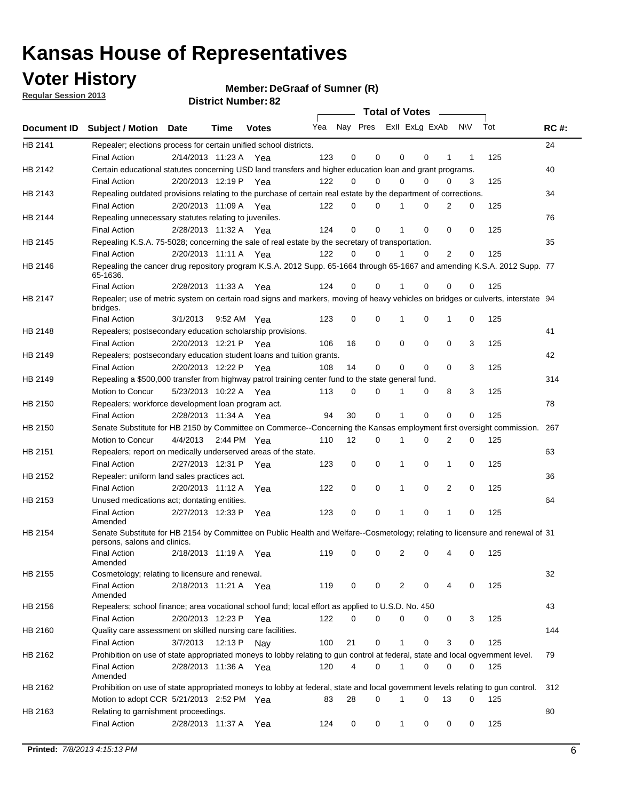### **Voter History**

**Member: DeGraaf of Sumner (R)** 

**Regular Session 2013**

|                    |                                                                                                                                              |          |                       |              |     |    | <b>Total of Votes</b>   |             |          | $\sim 100$     |     |     |             |
|--------------------|----------------------------------------------------------------------------------------------------------------------------------------------|----------|-----------------------|--------------|-----|----|-------------------------|-------------|----------|----------------|-----|-----|-------------|
| <b>Document ID</b> | <b>Subject / Motion Date</b>                                                                                                                 |          | Time                  | <b>Votes</b> | Yea |    | Nay Pres ExII ExLg ExAb |             |          |                | N\V | Tot | <b>RC#:</b> |
| HB 2141            | Repealer; elections process for certain unified school districts.                                                                            |          |                       |              |     |    |                         |             |          |                |     |     | 24          |
|                    | <b>Final Action</b>                                                                                                                          |          | 2/14/2013 11:23 A     | Yea          | 123 | 0  | 0                       | 0           | 0        | 1              | 1   | 125 |             |
| HB 2142            | Certain educational statutes concerning USD land transfers and higher education loan and grant programs.                                     |          |                       |              |     |    |                         |             |          |                |     |     | 40          |
|                    | <b>Final Action</b>                                                                                                                          |          | 2/20/2013 12:19 P Yea |              | 122 | 0  | 0                       | 0           | $\Omega$ | 0              | 3   | 125 |             |
| HB 2143            | Repealing outdated provisions relating to the purchase of certain real estate by the department of corrections.                              |          |                       |              |     |    |                         |             |          |                |     |     | 34          |
|                    | <b>Final Action</b>                                                                                                                          |          | 2/20/2013 11:09 A Yea |              | 122 | 0  | 0                       | 1           | 0        | $\overline{2}$ | 0   | 125 |             |
| HB 2144            | Repealing unnecessary statutes relating to juveniles.                                                                                        |          |                       |              |     |    |                         |             |          |                |     |     | 76          |
|                    | <b>Final Action</b>                                                                                                                          |          | 2/28/2013 11:32 A Yea |              | 124 | 0  | 0                       | 1           | 0        | 0              | 0   | 125 |             |
| HB 2145            | Repealing K.S.A. 75-5028; concerning the sale of real estate by the secretary of transportation.                                             |          |                       |              |     |    |                         |             |          |                |     |     | 35          |
|                    | <b>Final Action</b>                                                                                                                          |          | 2/20/2013 11:11 A Yea |              | 122 | 0  | 0                       | 1           | 0        | 2              | 0   | 125 |             |
| HB 2146            | Repealing the cancer drug repository program K.S.A. 2012 Supp. 65-1664 through 65-1667 and amending K.S.A. 2012 Supp. 77<br>65-1636.         |          |                       |              |     |    |                         |             |          |                |     |     |             |
|                    | <b>Final Action</b>                                                                                                                          |          | 2/28/2013 11:33 A     | Yea          | 124 | 0  | 0                       | 1           | $\Omega$ | 0              | 0   | 125 |             |
| HB 2147            | Repealer; use of metric system on certain road signs and markers, moving of heavy vehicles on bridges or culverts, interstate 94<br>bridges. |          |                       |              |     |    |                         |             |          |                |     |     |             |
|                    | <b>Final Action</b>                                                                                                                          | 3/1/2013 |                       | 9:52 AM Yea  | 123 | 0  | 0                       |             | 0        | 1              | 0   | 125 |             |
| HB 2148            | Repealers; postsecondary education scholarship provisions.                                                                                   |          |                       |              |     |    |                         |             |          |                |     |     | 41          |
|                    | <b>Final Action</b>                                                                                                                          |          | 2/20/2013 12:21 P     | Yea          | 106 | 16 | $\mathbf 0$             | 0           | 0        | $\mathbf 0$    | 3   | 125 |             |
| HB 2149            | Repealers; postsecondary education student loans and tuition grants.                                                                         |          |                       |              |     |    |                         |             |          |                |     |     | 42          |
|                    | <b>Final Action</b>                                                                                                                          |          | 2/20/2013 12:22 P     | Yea          | 108 | 14 | 0                       | 0           | $\Omega$ | $\Omega$       | 3   | 125 |             |
| HB 2149            | Repealing a \$500,000 transfer from highway patrol training center fund to the state general fund.                                           |          |                       |              |     |    |                         |             |          |                |     |     | 314         |
|                    | Motion to Concur                                                                                                                             |          | 5/23/2013 10:22 A Yea |              | 113 | 0  | 0                       |             | 0        | 8              | 3   | 125 |             |
| HB 2150            | Repealers; workforce development loan program act.                                                                                           |          |                       |              |     |    |                         |             |          |                |     |     | 78          |
|                    | <b>Final Action</b>                                                                                                                          |          | 2/28/2013 11:34 A Yea |              | 94  | 30 | $\mathbf 0$             | 1           | 0        | $\mathbf 0$    | 0   | 125 |             |
| HB 2150            | Senate Substitute for HB 2150 by Committee on Commerce--Concerning the Kansas employment first oversight commission.                         |          |                       |              |     |    |                         |             |          |                |     |     | 267         |
|                    | Motion to Concur                                                                                                                             |          | 4/4/2013 2:44 PM Yea  |              | 110 | 12 | 0                       | 1           | 0        | 2              | 0   | 125 |             |
| HB 2151            | Repealers; report on medically underserved areas of the state.                                                                               |          |                       |              |     |    |                         |             |          |                |     |     | 63          |
|                    | <b>Final Action</b>                                                                                                                          |          | 2/27/2013 12:31 P     | Yea          | 123 | 0  | $\mathbf 0$             | 1           | 0        | 1              | 0   | 125 |             |
| HB 2152            | Repealer: uniform land sales practices act.                                                                                                  |          |                       |              |     |    |                         |             |          |                |     |     | 36          |
|                    | <b>Final Action</b>                                                                                                                          |          | 2/20/2013 11:12 A     | Yea          | 122 | 0  | $\mathbf 0$             | 1           | 0        | 2              | 0   | 125 |             |
| HB 2153            | Unused medications act; dontating entities.                                                                                                  |          |                       |              |     |    |                         |             |          |                |     |     | 64          |
|                    | <b>Final Action</b><br>Amended                                                                                                               |          | 2/27/2013 12:33 P     | Yea          | 123 | 0  | 0                       | 1           | 0        | 1              | 0   | 125 |             |
| HB 2154            | Senate Substitute for HB 2154 by Committee on Public Health and Welfare--Cosmetology; relating to licensure and renewal of 31                |          |                       |              |     |    |                         |             |          |                |     |     |             |
|                    | persons, salons and clinics.                                                                                                                 |          |                       |              |     |    |                         |             |          |                |     |     |             |
|                    | <b>Final Action</b><br>Amended                                                                                                               |          | 2/18/2013 11:19 A     | Yea          | 119 | 0  | 0                       | 2           | 0        | 4              | 0   | 125 |             |
| HB 2155            | Cosmetology; relating to licensure and renewal.                                                                                              |          |                       |              |     |    |                         |             |          |                |     |     | 32          |
|                    | <b>Final Action</b><br>Amended                                                                                                               |          | 2/18/2013 11:21 A Yea |              | 119 | 0  | 0                       | 2           | 0        |                | 0   | 125 |             |
| HB 2156            | Repealers; school finance; area vocational school fund; local effort as applied to U.S.D. No. 450                                            |          |                       |              |     |    |                         |             |          |                |     |     | 43          |
|                    | <b>Final Action</b>                                                                                                                          |          | 2/20/2013 12:23 P     | Yea          | 122 | 0  | 0                       | 0           | 0        | 0              | 3   | 125 |             |
| HB 2160            | Quality care assessment on skilled nursing care facilities.                                                                                  |          |                       |              |     |    |                         |             |          |                |     |     | 144         |
|                    | <b>Final Action</b>                                                                                                                          | 3/7/2013 | 12:13 P               | Nav          | 100 | 21 | 0                       | 1           | 0        | 3              | 0   | 125 |             |
| HB 2162            | Prohibition on use of state appropriated moneys to lobby relating to gun control at federal, state and local ogvernment level.               |          |                       |              |     |    |                         |             |          |                |     |     | 79          |
|                    | <b>Final Action</b>                                                                                                                          |          | 2/28/2013 11:36 A Yea |              | 120 | 4  | 0                       | 1           | 0        | 0              | 0   | 125 |             |
|                    | Amended                                                                                                                                      |          |                       |              |     |    |                         |             |          |                |     |     |             |
| HB 2162            | Prohibition on use of state appropriated moneys to lobby at federal, state and local government levels relating to gun control.              |          |                       |              |     |    |                         |             |          |                |     |     | 312         |
|                    | Motion to adopt CCR 5/21/2013 2:52 PM Yea                                                                                                    |          |                       |              | 83  | 28 | 0                       |             | 0        | 13             | 0   | 125 |             |
| HB 2163            | Relating to garnishment proceedings.                                                                                                         |          |                       |              |     |    |                         |             |          |                |     |     | 80          |
|                    | <b>Final Action</b>                                                                                                                          |          | 2/28/2013 11:37 A Yea |              | 124 | 0  | 0                       | $\mathbf 1$ | 0        | 0              | 0   | 125 |             |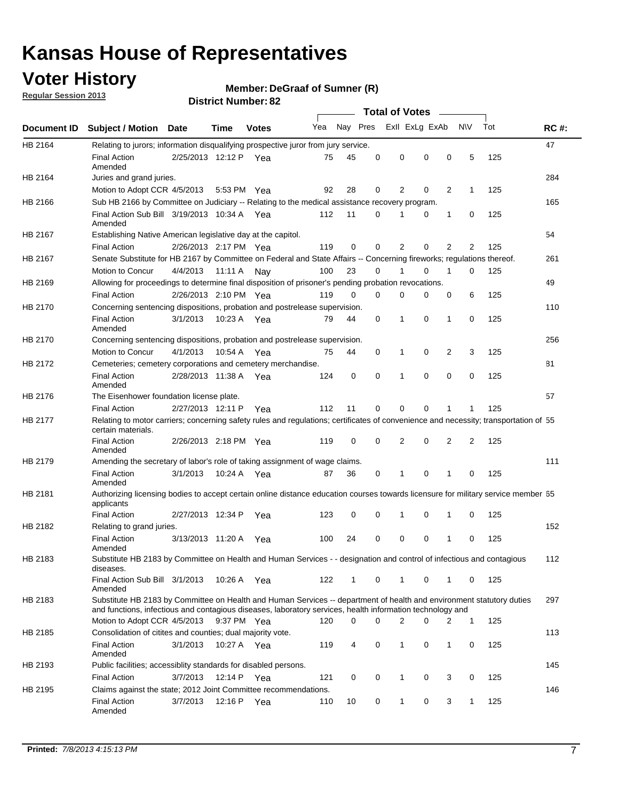### **Voter History**

**Member: DeGraaf of Sumner (R)** 

**Regular Session 2013**

|             |                                                                                                                                                                                                                                    |                       |             |              |     |              |          | <b>Total of Votes</b> |          |                |              |     |             |
|-------------|------------------------------------------------------------------------------------------------------------------------------------------------------------------------------------------------------------------------------------|-----------------------|-------------|--------------|-----|--------------|----------|-----------------------|----------|----------------|--------------|-----|-------------|
| Document ID | <b>Subject / Motion</b>                                                                                                                                                                                                            | <b>Date</b>           | Time        | <b>Votes</b> | Yea | Nay Pres     |          | Exll ExLg ExAb        |          |                | <b>NV</b>    | Tot | <b>RC#:</b> |
| HB 2164     | Relating to jurors; information disqualifying prospective juror from jury service.                                                                                                                                                 |                       |             |              |     |              |          |                       |          |                |              |     | 47          |
|             | <b>Final Action</b><br>Amended                                                                                                                                                                                                     | 2/25/2013 12:12 P Yea |             |              | 75  | 45           | 0        | 0                     | 0        | 0              | 5            | 125 |             |
| HB 2164     | Juries and grand juries.                                                                                                                                                                                                           |                       |             |              |     |              |          |                       |          |                |              |     | 284         |
|             | Motion to Adopt CCR 4/5/2013                                                                                                                                                                                                       |                       | 5:53 PM Yea |              | 92  | 28           | 0        | 2                     | 0        | 2              | 1            | 125 |             |
| HB 2166     | Sub HB 2166 by Committee on Judiciary -- Relating to the medical assistance recovery program.                                                                                                                                      |                       |             |              |     |              |          |                       |          |                |              |     | 165         |
|             | Final Action Sub Bill 3/19/2013 10:34 A Yea<br>Amended                                                                                                                                                                             |                       |             |              | 112 | 11           | 0        |                       | 0        | 1              | 0            | 125 |             |
| HB 2167     | Establishing Native American legislative day at the capitol.                                                                                                                                                                       |                       |             |              |     |              |          |                       |          |                |              |     | 54          |
|             | <b>Final Action</b>                                                                                                                                                                                                                | 2/26/2013 2:17 PM Yea |             |              | 119 | 0            | 0        | 2                     | 0        | $\overline{2}$ | 2            | 125 |             |
| HB 2167     | Senate Substitute for HB 2167 by Committee on Federal and State Affairs -- Concerning fireworks; regulations thereof.                                                                                                              |                       |             |              |     |              |          |                       |          |                |              |     | 261         |
|             | Motion to Concur                                                                                                                                                                                                                   | 4/4/2013 11:11 A Nay  |             |              | 100 | 23           | $\Omega$ |                       | 0        | 1              | $\Omega$     | 125 |             |
| HB 2169     | Allowing for proceedings to determine final disposition of prisoner's pending probation revocations.                                                                                                                               |                       |             |              |     |              |          |                       |          |                |              |     | 49          |
|             | <b>Final Action</b>                                                                                                                                                                                                                | 2/26/2013 2:10 PM Yea |             |              | 119 | $\Omega$     | $\Omega$ | 0                     | 0        | 0              | 6            | 125 |             |
| HB 2170     | Concerning sentencing dispositions, probation and postrelease supervision.                                                                                                                                                         |                       |             |              |     |              |          |                       |          |                |              |     | 110         |
|             | <b>Final Action</b><br>Amended                                                                                                                                                                                                     | 3/1/2013              | 10:23 A Yea |              | 79  | 44           | 0        | 1                     | $\Omega$ | $\mathbf{1}$   | 0            | 125 |             |
| HB 2170     | Concerning sentencing dispositions, probation and postrelease supervision.                                                                                                                                                         |                       |             |              |     |              |          |                       |          |                |              |     | 256         |
|             | Motion to Concur                                                                                                                                                                                                                   | 4/1/2013              | 10:54 A     | Yea          | 75  | 44           | 0        | 1                     | 0        | 2              | 3            | 125 |             |
| HB 2172     | Cemeteries; cemetery corporations and cemetery merchandise.                                                                                                                                                                        |                       |             |              |     |              |          |                       |          |                |              |     | 81          |
|             | <b>Final Action</b><br>Amended                                                                                                                                                                                                     | 2/28/2013 11:38 A     |             | Yea          | 124 | 0            | 0        | 1                     | 0        | 0              | 0            | 125 |             |
| HB 2176     | The Eisenhower foundation license plate.                                                                                                                                                                                           |                       |             |              |     |              |          |                       |          |                |              |     | 57          |
|             | <b>Final Action</b>                                                                                                                                                                                                                | 2/27/2013 12:11 P     |             | Yea          | 112 | 11           | 0        | $\Omega$              | 0        | 1              |              | 125 |             |
| HB 2177     | Relating to motor carriers; concerning safety rules and regulations; certificates of convenience and necessity; transportation of 55<br>certain materials.                                                                         |                       |             |              |     |              |          |                       |          |                |              |     |             |
|             | <b>Final Action</b><br>Amended                                                                                                                                                                                                     | 2/26/2013 2:18 PM Yea |             |              | 119 | $\mathbf 0$  | 0        | 2                     | 0        | 2              | 2            | 125 |             |
| HB 2179     | Amending the secretary of labor's role of taking assignment of wage claims.                                                                                                                                                        |                       |             |              |     |              |          |                       |          |                |              |     | 111         |
|             | <b>Final Action</b><br>Amended                                                                                                                                                                                                     | 3/1/2013              | 10:24 A Yea |              | 87  | 36           | 0        | 1                     | 0        | 1              | 0            | 125 |             |
| HB 2181     | Authorizing licensing bodies to accept certain online distance education courses towards licensure for military service member 55<br>applicants                                                                                    |                       |             |              |     |              |          |                       |          |                |              |     |             |
|             | <b>Final Action</b>                                                                                                                                                                                                                | 2/27/2013 12:34 P     |             | Yea          | 123 | 0            | 0        | 1                     | 0        | 1              | 0            | 125 |             |
| HB 2182     | Relating to grand juries.                                                                                                                                                                                                          |                       |             |              |     |              |          |                       |          |                |              |     | 152         |
|             | <b>Final Action</b><br>Amended                                                                                                                                                                                                     | 3/13/2013 11:20 A     |             | Yea          | 100 | 24           | 0        | 0                     | 0        | 1              | 0            | 125 |             |
| HB 2183     | Substitute HB 2183 by Committee on Health and Human Services - - designation and control of infectious and contagious<br>diseases.                                                                                                 |                       |             |              |     |              |          |                       |          |                |              |     | 112         |
|             | Final Action Sub Bill 3/1/2013<br>Amended                                                                                                                                                                                          |                       | 10:26 A Yea |              | 122 | $\mathbf{1}$ | 0        | $\mathbf 1$           | 0        | $\mathbf{1}$   | $\mathbf{0}$ | 125 |             |
| HB 2183     | Substitute HB 2183 by Committee on Health and Human Services -- department of health and environment statutory duties<br>and functions, infectious and contagious diseases, laboratory services, health information technology and |                       |             |              |     |              |          |                       |          |                |              |     | 297         |
|             | Motion to Adopt CCR 4/5/2013                                                                                                                                                                                                       |                       | 9:37 PM Yea |              | 120 | 0            | 0        | $\overline{2}$        | 0        | 2              | $\mathbf{1}$ | 125 |             |
| HB 2185     | Consolidation of citites and counties; dual majority vote.                                                                                                                                                                         |                       |             |              |     |              |          |                       |          |                |              |     | 113         |
|             | <b>Final Action</b><br>Amended                                                                                                                                                                                                     | 3/1/2013              | 10:27 A Yea |              | 119 | 4            | 0        | 1                     | 0        | 1              | 0            | 125 |             |
| HB 2193     | Public facilities; accessiblity standards for disabled persons.                                                                                                                                                                    |                       |             |              |     |              |          |                       |          |                |              |     | 145         |
|             | <b>Final Action</b>                                                                                                                                                                                                                | 3/7/2013              | 12:14 P Yea |              | 121 | 0            | 0        | 1                     | 0        | 3              | 0            | 125 |             |
| HB 2195     | Claims against the state; 2012 Joint Committee recommendations.                                                                                                                                                                    |                       |             |              |     |              |          |                       |          |                |              |     | 146         |
|             | <b>Final Action</b><br>Amended                                                                                                                                                                                                     | 3/7/2013              | 12:16 P Yea |              | 110 | 10           | 0        | $\mathbf 1$           | 0        | 3              | $\mathbf{1}$ | 125 |             |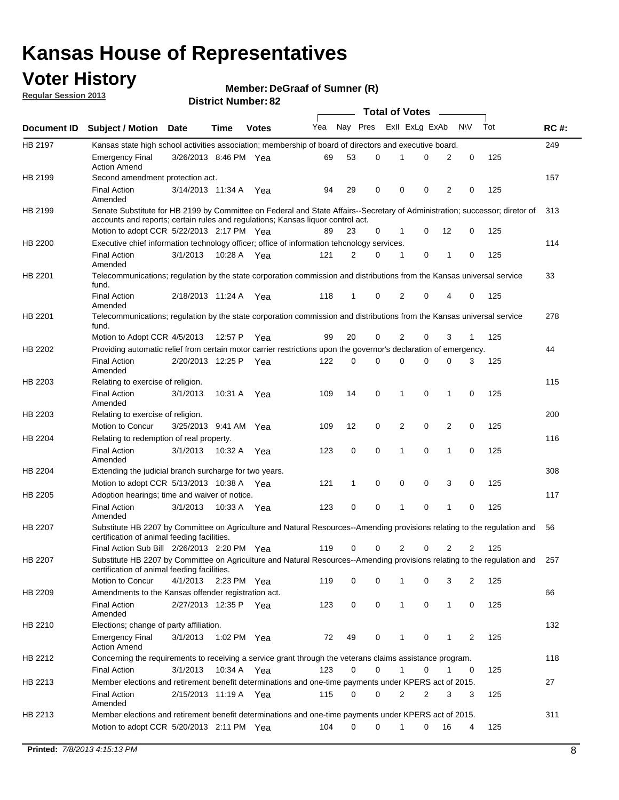### **Voter History**

**Member: DeGraaf of Sumner (R)** 

**Regular Session 2013**

|             |                                                                                                                                                                         |                       |             |              |     |          |   | <b>Total of Votes</b> |   |                |                |     |             |
|-------------|-------------------------------------------------------------------------------------------------------------------------------------------------------------------------|-----------------------|-------------|--------------|-----|----------|---|-----------------------|---|----------------|----------------|-----|-------------|
| Document ID | <b>Subject / Motion Date</b>                                                                                                                                            |                       | Time        | <b>Votes</b> | Yea | Nay Pres |   | Exll ExLg ExAb        |   |                | N\V            | Tot | <b>RC#:</b> |
| HB 2197     | Kansas state high school activities association; membership of board of directors and executive board.                                                                  |                       |             |              |     |          |   |                       |   |                |                |     | 249         |
|             | <b>Emergency Final</b><br><b>Action Amend</b>                                                                                                                           | 3/26/2013 8:46 PM Yea |             |              | 69  | 53       | 0 | 1                     | 0 | 2              | 0              | 125 |             |
| HB 2199     | Second amendment protection act.                                                                                                                                        |                       |             |              |     |          |   |                       |   |                |                |     | 157         |
|             | <b>Final Action</b><br>Amended                                                                                                                                          | 3/14/2013 11:34 A Yea |             |              | 94  | 29       | 0 | 0                     | 0 | 2              | 0              | 125 |             |
| HB 2199     | Senate Substitute for HB 2199 by Committee on Federal and State Affairs--Secretary of Administration; successor; diretor of                                             |                       |             |              |     |          |   |                       |   |                |                |     | 313         |
|             | accounts and reports; certain rules and regulations; Kansas liquor control act.                                                                                         |                       |             |              |     |          |   |                       |   |                |                |     |             |
|             | Motion to adopt CCR 5/22/2013 2:17 PM Yea                                                                                                                               |                       |             |              | 89  | 23       | 0 | 1                     | 0 | 12             | 0              | 125 |             |
| HB 2200     | Executive chief information technology officer; office of information tehcnology services.                                                                              |                       |             |              |     |          |   |                       |   |                |                |     | 114         |
|             | <b>Final Action</b><br>Amended                                                                                                                                          | 3/1/2013              |             | 10:28 A Yea  | 121 | 2        | 0 | 1                     | 0 | 1              | 0              | 125 |             |
| HB 2201     | Telecommunications; regulation by the state corporation commission and distributions from the Kansas universal service<br>fund.                                         |                       |             |              |     |          |   |                       |   |                |                |     | 33          |
|             | <b>Final Action</b><br>Amended                                                                                                                                          | 2/18/2013 11:24 A Yea |             |              | 118 | 1        | 0 | 2                     | 0 | 4              | 0              | 125 |             |
| HB 2201     | Telecommunications; regulation by the state corporation commission and distributions from the Kansas universal service<br>fund.                                         |                       |             |              |     |          |   |                       |   |                |                |     | 278         |
|             | Motion to Adopt CCR 4/5/2013                                                                                                                                            |                       | 12:57 P     | Yea          | 99  | 20       | 0 | 2                     | 0 | 3              | $\mathbf{1}$   | 125 |             |
| HB 2202     | Providing automatic relief from certain motor carrier restrictions upon the governor's declaration of emergency.                                                        |                       |             |              |     |          |   |                       |   |                |                |     | 44          |
|             | <b>Final Action</b><br>Amended                                                                                                                                          | 2/20/2013 12:25 P     |             | Yea          | 122 | 0        | 0 | 0                     | 0 | 0              | 3              | 125 |             |
| HB 2203     | Relating to exercise of religion.                                                                                                                                       |                       |             |              |     |          |   |                       |   |                |                |     | 115         |
|             | <b>Final Action</b><br>Amended                                                                                                                                          | 3/1/2013              | 10:31 A     | Yea          | 109 | 14       | 0 | 1                     | 0 | $\mathbf{1}$   | 0              | 125 |             |
| HB 2203     | Relating to exercise of religion.                                                                                                                                       |                       |             |              |     |          |   |                       |   |                |                |     | 200         |
|             | Motion to Concur                                                                                                                                                        | 3/25/2013 9:41 AM Yea |             |              | 109 | 12       | 0 | 2                     | 0 | $\overline{2}$ | $\mathbf 0$    | 125 |             |
| HB 2204     | Relating to redemption of real property.                                                                                                                                |                       |             |              |     |          |   |                       |   |                |                |     | 116         |
|             | <b>Final Action</b>                                                                                                                                                     | 3/1/2013              | 10:32 A Yea |              | 123 | 0        | 0 | 1                     | 0 | 1              | $\mathbf 0$    | 125 |             |
| HB 2204     | Amended<br>Extending the judicial branch surcharge for two years.                                                                                                       |                       |             |              |     |          |   |                       |   |                |                |     | 308         |
|             | Motion to adopt CCR 5/13/2013 10:38 A Yea                                                                                                                               |                       |             |              | 121 | 1        | 0 | 0                     | 0 | 3              | 0              | 125 |             |
| HB 2205     | Adoption hearings; time and waiver of notice.                                                                                                                           |                       |             |              |     |          |   |                       |   |                |                |     | 117         |
|             | <b>Final Action</b>                                                                                                                                                     | 3/1/2013              | 10:33 A Yea |              | 123 | 0        | 0 | 1                     | 0 | 1              | 0              | 125 |             |
|             | Amended                                                                                                                                                                 |                       |             |              |     |          |   |                       |   |                |                |     |             |
| HB 2207     | Substitute HB 2207 by Committee on Agriculture and Natural Resources--Amending provisions relating to the regulation and<br>certification of animal feeding facilities. |                       |             |              |     |          |   |                       |   |                |                |     | 56          |
|             | Final Action Sub Bill 2/26/2013 2:20 PM Yea                                                                                                                             |                       |             |              | 119 | 0        | 0 | 2                     | 0 | 2              | 2              | 125 |             |
| HB 2207     | Substitute HB 2207 by Committee on Agriculture and Natural Resources--Amending provisions relating to the regulation and<br>certification of animal feeding facilities. |                       |             |              |     |          |   |                       |   |                |                |     | 257         |
|             | Motion to Concur                                                                                                                                                        | 4/1/2013              | 2:23 PM Yea |              | 119 | 0        | 0 | 1                     | 0 | 3              | 2              | 125 |             |
| HB 2209     | Amendments to the Kansas offender registration act.                                                                                                                     |                       |             |              |     |          |   |                       |   |                |                |     | 66          |
|             | <b>Final Action</b><br>Amended                                                                                                                                          | 2/27/2013 12:35 P Yea |             |              | 123 | 0        | 0 | $\mathbf{1}$          | 0 | $\mathbf{1}$   | 0              | 125 |             |
| HB 2210     | Elections; change of party affiliation.                                                                                                                                 |                       |             |              |     |          |   |                       |   |                |                |     | 132         |
|             | <b>Emergency Final</b><br><b>Action Amend</b>                                                                                                                           | 3/1/2013              | 1:02 PM Yea |              | 72  | 49       | 0 | 1                     | 0 | 1              | $\overline{2}$ | 125 |             |
| HB 2212     | Concerning the requirements to receiving a service grant through the veterans claims assistance program.                                                                |                       |             |              |     |          |   |                       |   |                |                |     | 118         |
|             | <b>Final Action</b>                                                                                                                                                     | 3/1/2013              | 10:34 A Yea |              | 123 | 0        | 0 | $\mathbf{1}$          | 0 | 1              | 0              | 125 |             |
| HB 2213     | Member elections and retirement benefit determinations and one-time payments under KPERS act of 2015.                                                                   |                       |             |              |     |          |   |                       |   |                |                |     | 27          |
|             | <b>Final Action</b><br>Amended                                                                                                                                          | 2/15/2013 11:19 A Yea |             |              | 115 | 0        | 0 | 2                     | 2 | 3              | 3              | 125 |             |
| HB 2213     | Member elections and retirement benefit determinations and one-time payments under KPERS act of 2015.                                                                   |                       |             |              |     |          |   |                       |   |                |                |     | 311         |
|             | Motion to adopt CCR 5/20/2013 2:11 PM Yea                                                                                                                               |                       |             |              | 104 | 0        | 0 | 1                     | 0 | 16             | 4              | 125 |             |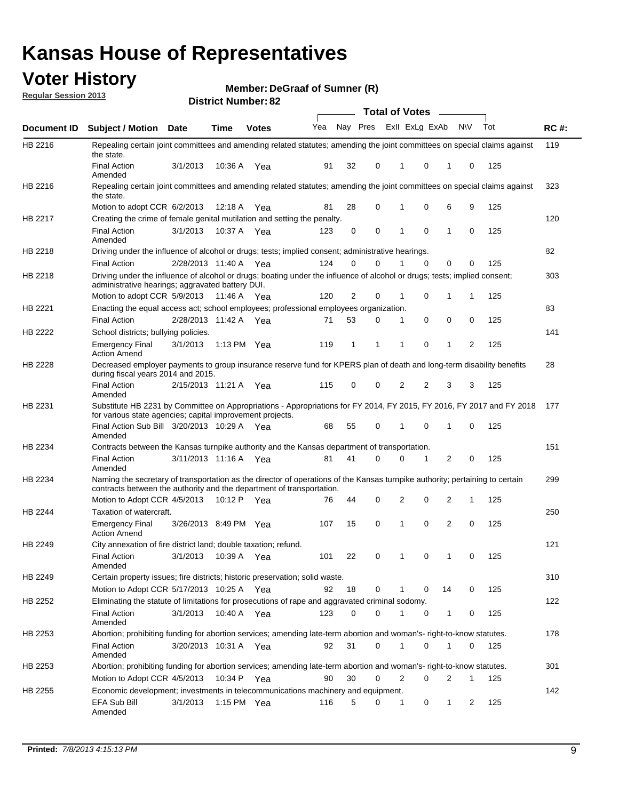### **Voter History**

**Member: DeGraaf of Sumner (R)** 

**Regular Session 2013**

|             |                                                                                                                                                                                                       |                       |               |              |     |          |          | Total of Votes __ |          |              |           |     |             |
|-------------|-------------------------------------------------------------------------------------------------------------------------------------------------------------------------------------------------------|-----------------------|---------------|--------------|-----|----------|----------|-------------------|----------|--------------|-----------|-----|-------------|
| Document ID | Subject / Motion Date                                                                                                                                                                                 |                       | <b>Time</b>   | <b>Votes</b> | Yea | Nay Pres |          | Exll ExLg ExAb    |          |              | <b>NV</b> | Tot | <b>RC#:</b> |
| HB 2216     | Repealing certain joint committees and amending related statutes; amending the joint committees on special claims against<br>the state.                                                               |                       |               |              |     |          |          |                   |          |              |           |     | 119         |
|             | <b>Final Action</b><br>Amended                                                                                                                                                                        | 3/1/2013              | 10:36 A       | Yea          | 91  | 32       | 0        | 1                 | 0        | 1            | 0         | 125 |             |
| HB 2216     | Repealing certain joint committees and amending related statutes; amending the joint committees on special claims against<br>the state.                                                               |                       |               |              |     |          |          |                   |          |              |           |     | 323         |
|             | Motion to adopt CCR 6/2/2013                                                                                                                                                                          |                       | 12:18 A       | Yea          | 81  | 28       | 0        | 1                 | 0        | 6            | 9         | 125 |             |
| HB 2217     | Creating the crime of female genital mutilation and setting the penalty.                                                                                                                              |                       |               |              |     |          |          |                   |          |              |           |     | 120         |
|             | <b>Final Action</b><br>Amended                                                                                                                                                                        | 3/1/2013              | 10:37 A Yea   |              | 123 | 0        | 0        | 1                 | 0        | 1            | 0         | 125 |             |
| HB 2218     | Driving under the influence of alcohol or drugs; tests; implied consent; administrative hearings.                                                                                                     |                       |               |              |     |          |          |                   |          |              |           |     | 82          |
|             | <b>Final Action</b>                                                                                                                                                                                   | 2/28/2013 11:40 A Yea |               |              | 124 | 0        | $\Omega$ |                   | $\Omega$ | 0            | 0         | 125 |             |
| HB 2218     | Driving under the influence of alcohol or drugs; boating under the influence of alcohol or drugs; tests; implied consent;<br>administrative hearings; aggravated battery DUI.                         |                       |               |              |     |          |          |                   |          |              |           |     | 303         |
|             | Motion to adopt CCR 5/9/2013                                                                                                                                                                          |                       | 11:46 A Yea   |              | 120 | 2        | 0        | 1                 | 0        | 1            | 1         | 125 |             |
| HB 2221     | Enacting the equal access act; school employees; professional employees organization.                                                                                                                 |                       |               |              |     |          |          |                   |          |              |           |     | 83          |
|             | <b>Final Action</b>                                                                                                                                                                                   | 2/28/2013 11:42 A Yea |               |              | 71  | 53       | 0        | 1                 | 0        | 0            | 0         | 125 |             |
| HB 2222     | School districts; bullying policies.<br>Emergency Final                                                                                                                                               | 3/1/2013              | 1:13 PM $Yea$ |              | 119 | 1        | 1        | 1                 | 0        | 1            | 2         | 125 | 141         |
| HB 2228     | <b>Action Amend</b><br>Decreased employer payments to group insurance reserve fund for KPERS plan of death and long-term disability benefits<br>during fiscal years 2014 and 2015.                    |                       |               |              |     |          |          |                   |          |              |           |     | 28          |
|             | <b>Final Action</b><br>Amended                                                                                                                                                                        | 2/15/2013 11:21 A Yea |               |              | 115 | 0        | 0        | 2                 | 2        | 3            | 3         | 125 |             |
| HB 2231     | Substitute HB 2231 by Committee on Appropriations - Appropriations for FY 2014, FY 2015, FY 2016, FY 2017 and FY 2018 177<br>for various state agencies; capital improvement projects.                |                       |               |              |     |          |          |                   |          |              |           |     |             |
|             | Final Action Sub Bill 3/20/2013 10:29 A Yea<br>Amended                                                                                                                                                |                       |               |              | 68  | 55       | 0        | 1                 | 0        | 1            | 0         | 125 |             |
| HB 2234     | Contracts between the Kansas turnpike authority and the Kansas department of transportation.                                                                                                          |                       |               |              |     |          |          |                   |          |              |           |     | 151         |
|             | <b>Final Action</b><br>Amended                                                                                                                                                                        | 3/11/2013 11:16 A     |               | Yea          | 81  | 41       | 0        | 0                 | 1        | 2            | 0         | 125 |             |
| HB 2234     | Naming the secretary of transportation as the director of operations of the Kansas turnpike authority; pertaining to certain<br>contracts between the authority and the department of transportation. |                       |               |              |     |          |          |                   |          |              |           |     | 299         |
|             | Motion to Adopt CCR 4/5/2013                                                                                                                                                                          |                       | 10:12 P Yea   |              | 76  | 44       | 0        | 2                 | 0        | 2            | 1         | 125 |             |
| HB 2244     | Taxation of watercraft.<br><b>Emergency Final</b>                                                                                                                                                     | 3/26/2013 8:49 PM Yea |               |              | 107 | 15       | 0        | 1                 | 0        | 2            | 0         | 125 | 250         |
|             | <b>Action Amend</b><br>City annexation of fire district land; double taxation; refund.                                                                                                                |                       |               |              |     |          |          |                   |          |              |           |     | 121         |
| HB 2249     | Final Action<br>Amended                                                                                                                                                                               | 3/1/2013 10:39 A Yea  |               |              | 101 | 22       | 0        | $\mathbf{1}$      | $\cap$   | $\mathbf{1}$ | $\Omega$  | 125 |             |
| HB 2249     | Certain property issues; fire districts; historic preservation; solid waste.                                                                                                                          |                       |               |              |     |          |          |                   |          |              |           |     | 310         |
|             | Motion to Adopt CCR 5/17/2013 10:25 A Yea                                                                                                                                                             |                       |               |              | 92  | 18       | 0        |                   | 0        | 14           | 0         | 125 |             |
| HB 2252     | Eliminating the statute of limitations for prosecutions of rape and aggravated criminal sodomy.                                                                                                       |                       |               |              |     |          |          |                   |          |              |           |     | 122         |
|             | <b>Final Action</b><br>Amended                                                                                                                                                                        | 3/1/2013              | 10:40 A Yea   |              | 123 | 0        | 0        |                   | 0        | 1            | 0         | 125 |             |
| HB 2253     | Abortion; prohibiting funding for abortion services; amending late-term abortion and woman's- right-to-know statutes.                                                                                 |                       |               |              |     |          |          |                   |          |              |           |     | 178         |
|             | <b>Final Action</b><br>Amended                                                                                                                                                                        | 3/20/2013 10:31 A Yea |               |              | 92  | 31       | 0        | 1                 | 0        | 1            | 0         | 125 |             |
| HB 2253     | Abortion; prohibiting funding for abortion services; amending late-term abortion and woman's- right-to-know statutes.                                                                                 |                       |               |              |     |          |          |                   |          |              |           |     | 301         |
|             | Motion to Adopt CCR 4/5/2013                                                                                                                                                                          |                       | 10:34 P Yea   |              | 90  | 30       | 0        | 2                 | 0        | 2            | 1         | 125 |             |
| HB 2255     | Economic development; investments in telecommunications machinery and equipment.                                                                                                                      |                       |               |              |     |          |          |                   |          |              |           |     | 142         |
|             | EFA Sub Bill<br>Amended                                                                                                                                                                               | 3/1/2013              | 1:15 PM Yea   |              | 116 | 5        | 0        | -1                | 0        | 1            | 2         | 125 |             |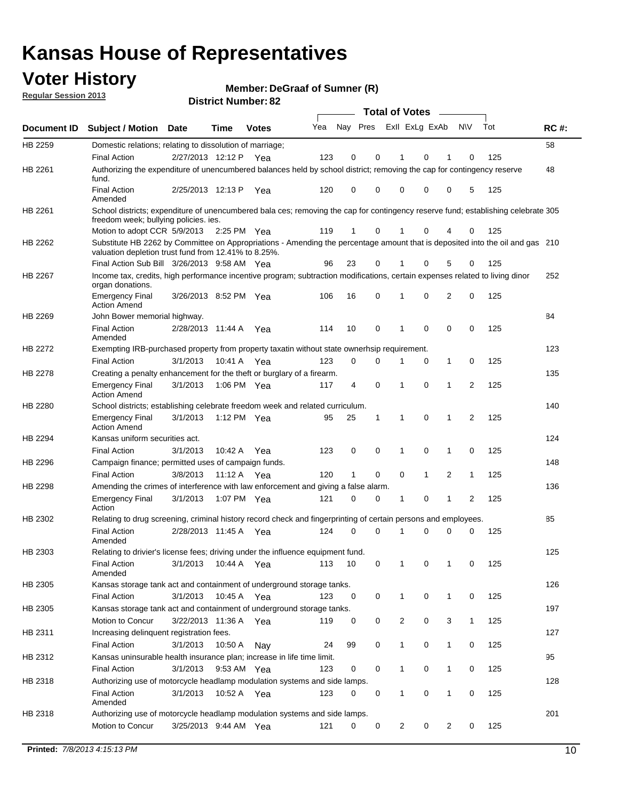### **Voter History**

**Member: DeGraaf of Sumner (R)** 

**Regular Session 2013**

|                    |                                                                                                                                                                                       |                       | וסוש ויטגוווגרוס <b>ויטגוע</b> |              |     |                         |             | <b>Total of Votes</b> |              | $\sim$         |              |     |             |
|--------------------|---------------------------------------------------------------------------------------------------------------------------------------------------------------------------------------|-----------------------|--------------------------------|--------------|-----|-------------------------|-------------|-----------------------|--------------|----------------|--------------|-----|-------------|
| <b>Document ID</b> | <b>Subject / Motion</b>                                                                                                                                                               | Date                  | Time                           | <b>Votes</b> | Yea | Nay Pres Exll ExLg ExAb |             |                       |              |                | N\V          | Tot | <b>RC#:</b> |
| HB 2259            | Domestic relations; relating to dissolution of marriage;                                                                                                                              |                       |                                |              |     |                         |             |                       |              |                |              |     | 58          |
|                    | <b>Final Action</b>                                                                                                                                                                   | 2/27/2013 12:12 P     |                                | Yea          | 123 | 0                       | 0           | 1                     | 0            | 1              | $\Omega$     | 125 |             |
| HB 2261            | Authorizing the expenditure of unencumbered balances held by school district; removing the cap for contingency reserve<br>fund.                                                       |                       |                                |              |     |                         |             |                       |              |                |              |     | 48          |
|                    | <b>Final Action</b><br>Amended                                                                                                                                                        | 2/25/2013 12:13 P     |                                | Yea          | 120 | 0                       | 0           | 0                     | 0            | 0              | 5            | 125 |             |
| HB 2261            | School districts; expenditure of unencumbered bala ces; removing the cap for contingency reserve fund; establishing celebrate 305<br>freedom week; bullying policies. ies.            |                       |                                |              |     |                         |             |                       |              |                |              |     |             |
|                    | Motion to adopt CCR 5/9/2013                                                                                                                                                          |                       | 2:25 PM Yea                    |              | 119 | 1                       | 0           |                       | 0            | 4              | 0            | 125 |             |
| HB 2262            | Substitute HB 2262 by Committee on Appropriations - Amending the percentage amount that is deposited into the oil and gas 210<br>valuation depletion trust fund from 12.41% to 8.25%. |                       |                                |              |     |                         |             |                       |              |                |              |     |             |
|                    | Final Action Sub Bill 3/26/2013 9:58 AM Yea                                                                                                                                           |                       |                                |              | 96  | 23                      | 0           |                       | 0            | 5              | 0            | 125 |             |
| HB 2267            | Income tax, credits, high performance incentive program; subtraction modifications, certain expenses related to living dinor<br>organ donations.                                      |                       |                                |              |     |                         |             |                       |              |                |              |     | 252         |
|                    | <b>Emergency Final</b><br><b>Action Amend</b>                                                                                                                                         | 3/26/2013 8:52 PM Yea |                                |              | 106 | 16                      | 0           | 1                     | 0            | 2              | 0            | 125 |             |
| HB 2269            | John Bower memorial highway.                                                                                                                                                          |                       |                                |              |     |                         |             |                       |              |                |              |     | 84          |
|                    | <b>Final Action</b><br>Amended                                                                                                                                                        | 2/28/2013 11:44 A Yea |                                |              | 114 | 10                      | 0           | 1                     | 0            | 0              | 0            | 125 |             |
| HB 2272            | Exempting IRB-purchased property from property taxatin without state ownerhsip requirement.                                                                                           |                       |                                |              |     |                         |             |                       |              |                |              |     | 123         |
|                    | <b>Final Action</b>                                                                                                                                                                   | 3/1/2013              | 10:41 A Yea                    |              | 123 | 0                       | 0           | 1                     | 0            | $\mathbf{1}$   | 0            | 125 |             |
| HB 2278            | Creating a penalty enhancement for the theft or burglary of a firearm.                                                                                                                |                       |                                |              |     |                         |             |                       |              |                |              |     | 135         |
|                    | <b>Emergency Final</b><br><b>Action Amend</b>                                                                                                                                         | 3/1/2013              | 1:06 PM Yea                    |              | 117 | 4                       | $\mathbf 0$ | 1                     | $\Omega$     | 1              | 2            | 125 |             |
| HB 2280            | School districts; establishing celebrate freedom week and related curriculum.                                                                                                         |                       |                                |              |     |                         |             |                       |              |                |              |     | 140         |
|                    | <b>Emergency Final</b><br><b>Action Amend</b>                                                                                                                                         | 3/1/2013              | 1:12 PM Yea                    |              | 95  | 25                      | 1           | 1                     | 0            | 1              | 2            | 125 |             |
| HB 2294            | Kansas uniform securities act.                                                                                                                                                        |                       |                                |              |     |                         |             |                       |              |                |              |     | 124         |
|                    | <b>Final Action</b>                                                                                                                                                                   | 3/1/2013              | 10:42 A Yea                    |              | 123 | 0                       | 0           | 1                     | $\mathbf 0$  | $\mathbf{1}$   | 0            | 125 |             |
| HB 2296            | Campaign finance; permitted uses of campaign funds.                                                                                                                                   |                       |                                |              |     |                         |             |                       |              |                |              |     | 148         |
|                    | <b>Final Action</b>                                                                                                                                                                   | 3/8/2013              | 11:12 A Yea                    |              | 120 | $\mathbf{1}$            | 0           | 0                     | $\mathbf{1}$ | $\overline{2}$ | $\mathbf{1}$ | 125 |             |
| HB 2298            | Amending the crimes of interference with law enforcement and giving a false alarm.                                                                                                    |                       |                                |              |     |                         |             |                       |              |                |              |     | 136         |
|                    | <b>Emergency Final</b><br>Action                                                                                                                                                      | 3/1/2013              | 1:07 PM Yea                    |              | 121 | 0                       | 0           | 1                     | 0            | $\mathbf{1}$   | 2            | 125 |             |
| HB 2302            | Relating to drug screening, criminal history record check and fingerprinting of certain persons and employees.                                                                        |                       |                                |              |     |                         |             |                       |              |                |              |     | 85          |
|                    | <b>Final Action</b><br>Amended                                                                                                                                                        | 2/28/2013 11:45 A Yea |                                |              | 124 | 0                       | $\Omega$    | 1                     | 0            | 0              | $\mathbf 0$  | 125 |             |
| HB 2303            | Relating to drivier's license fees; driving under the influence equipment fund.                                                                                                       |                       |                                |              |     |                         |             |                       |              |                |              |     | 125         |
|                    | <b>Final Action</b><br>Amended                                                                                                                                                        | 3/1/2013              | 10:44 A                        | Yea          | 113 | 10                      | 0           | 1                     | 0            | 1              | 0            | 125 |             |
| HB 2305            | Kansas storage tank act and containment of underground storage tanks.                                                                                                                 |                       |                                |              |     |                         |             |                       |              |                |              |     | 126         |
|                    | <b>Final Action</b>                                                                                                                                                                   | 3/1/2013              | 10:45 A                        | Yea          | 123 | 0                       | 0           | 1                     | 0            | 1              | 0            | 125 |             |
| HB 2305            | Kansas storage tank act and containment of underground storage tanks.                                                                                                                 |                       |                                |              |     |                         |             |                       |              |                |              |     | 197         |
|                    | Motion to Concur                                                                                                                                                                      | 3/22/2013 11:36 A     |                                | Yea          | 119 | 0                       | 0           | 2                     | 0            | 3              | $\mathbf{1}$ | 125 |             |
| HB 2311            | Increasing delinquent registration fees.<br><b>Final Action</b>                                                                                                                       | 3/1/2013              | 10:50 A                        |              | 24  | 99                      | 0           | $\mathbf{1}$          | 0            | $\mathbf{1}$   | 0            | 125 | 127         |
| HB 2312            | Kansas uninsurable health insurance plan; increase in life time limit.                                                                                                                |                       |                                | Nay          |     |                         |             |                       |              |                |              |     | 95          |
|                    | <b>Final Action</b>                                                                                                                                                                   | 3/1/2013              | 9:53 AM Yea                    |              | 123 | 0                       | 0           | 1                     | 0            | 1              | 0            | 125 |             |
|                    | Authorizing use of motorcycle headlamp modulation systems and side lamps.                                                                                                             |                       |                                |              |     |                         |             |                       |              |                |              |     | 128         |
| HB 2318            | <b>Final Action</b><br>Amended                                                                                                                                                        | 3/1/2013              | 10:52 A Yea                    |              | 123 | 0                       | 0           | 1                     | 0            | $\mathbf{1}$   | 0            | 125 |             |
| HB 2318            | Authorizing use of motorcycle headlamp modulation systems and side lamps.                                                                                                             |                       |                                |              |     |                         |             |                       |              |                |              |     | 201         |
|                    | Motion to Concur                                                                                                                                                                      | 3/25/2013 9:44 AM Yea |                                |              | 121 | 0                       | 0           | 2                     | 0            | 2              | 0            | 125 |             |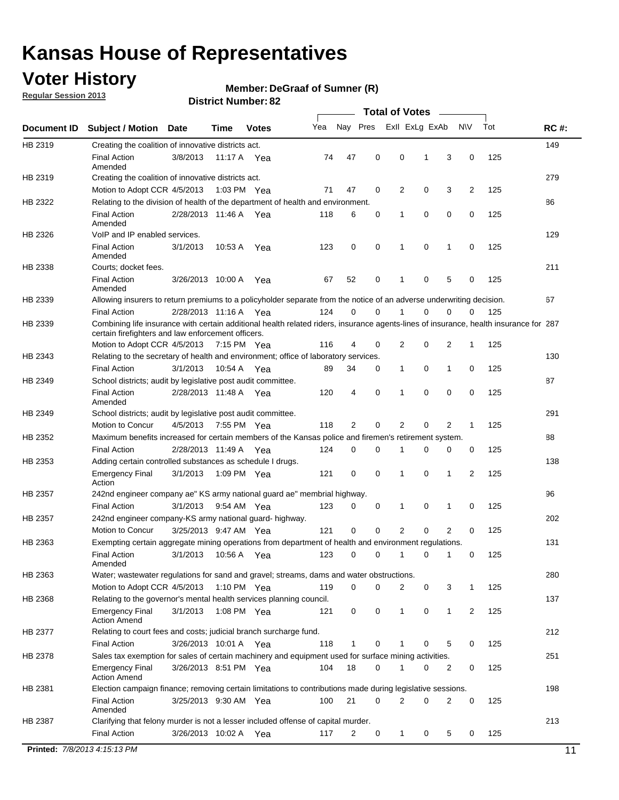### **Voter History**

**Member: DeGraaf of Sumner (R)** 

**Regular Session 2013**

|             |                                                                                                                                                                                             |                       |             |               |     |             |             | <b>Total of Votes</b> |   |                |           |     |             |
|-------------|---------------------------------------------------------------------------------------------------------------------------------------------------------------------------------------------|-----------------------|-------------|---------------|-----|-------------|-------------|-----------------------|---|----------------|-----------|-----|-------------|
| Document ID | <b>Subject / Motion</b>                                                                                                                                                                     | <b>Date</b>           | Time        | <b>Votes</b>  | Yea | Nay Pres    |             | Exll ExLg ExAb        |   |                | <b>NV</b> | Tot | <b>RC#:</b> |
| HB 2319     | Creating the coalition of innovative districts act.                                                                                                                                         |                       |             |               |     |             |             |                       |   |                |           |     | 149         |
|             | <b>Final Action</b><br>Amended                                                                                                                                                              | 3/8/2013              | 11:17 A     | Yea           | 74  | 47          | 0           | 0                     | 1 | 3              | 0         | 125 |             |
| HB 2319     | Creating the coalition of innovative districts act.                                                                                                                                         |                       |             |               |     |             |             |                       |   |                |           |     | 279         |
|             | Motion to Adopt CCR 4/5/2013                                                                                                                                                                |                       |             | 1:03 PM Yea   | 71  | 47          | 0           | 2                     | 0 | 3              | 2         | 125 |             |
| HB 2322     | Relating to the division of health of the department of health and environment.                                                                                                             |                       |             |               |     |             |             |                       |   |                |           |     | 86          |
|             | <b>Final Action</b><br>Amended                                                                                                                                                              | 2/28/2013 11:46 A Yea |             |               | 118 | 6           | 0           | 1                     | 0 | 0              | 0         | 125 |             |
| HB 2326     | VoIP and IP enabled services.                                                                                                                                                               |                       |             |               |     |             |             |                       |   |                |           |     | 129         |
|             | <b>Final Action</b><br>Amended                                                                                                                                                              | 3/1/2013              | 10.53 A     | Yea           | 123 | $\mathbf 0$ | 0           | $\mathbf{1}$          | 0 | 1              | 0         | 125 |             |
| HB 2338     | Courts; docket fees.                                                                                                                                                                        |                       |             |               |     |             |             |                       |   |                |           |     | 211         |
|             | <b>Final Action</b><br>Amended                                                                                                                                                              | 3/26/2013 10:00 A     |             | Yea           | 67  | 52          | 0           | $\mathbf 1$           | 0 | 5              | 0         | 125 |             |
| HB 2339     | Allowing insurers to return premiums to a policyholder separate from the notice of an adverse underwriting decision.                                                                        |                       |             |               |     |             |             |                       |   |                |           |     | 67          |
|             | <b>Final Action</b>                                                                                                                                                                         | 2/28/2013 11:16 A Yea |             |               | 124 | 0           | 0           |                       | 0 | 0              | 0         | 125 |             |
| HB 2339     | Combining life insurance with certain additional health related riders, insurance agents-lines of insurance, health insurance for 287<br>certain firefighters and law enforcement officers. |                       |             |               |     |             |             |                       |   |                |           |     |             |
|             | Motion to Adopt CCR 4/5/2013 7:15 PM Yea                                                                                                                                                    |                       |             |               | 116 | 4           | 0           | 2                     | 0 | 2              | -1        | 125 |             |
| HB 2343     | Relating to the secretary of health and environment; office of laboratory services.                                                                                                         |                       |             |               |     |             |             |                       |   |                |           |     | 130         |
|             | <b>Final Action</b>                                                                                                                                                                         | 3/1/2013              | 10:54 A Yea |               | 89  | 34          | 0           | 1                     | 0 | $\mathbf{1}$   | 0         | 125 |             |
| HB 2349     | School districts; audit by legislative post audit committee.                                                                                                                                |                       |             |               |     |             |             |                       |   |                |           |     | 87          |
|             | <b>Final Action</b><br>Amended                                                                                                                                                              | 2/28/2013 11:48 A Yea |             |               | 120 | 4           | $\mathbf 0$ | $\mathbf{1}$          | 0 | $\mathbf 0$    | 0         | 125 |             |
| HB 2349     | School districts; audit by legislative post audit committee.                                                                                                                                |                       |             |               |     |             |             |                       |   |                |           |     | 291         |
|             | Motion to Concur                                                                                                                                                                            | 4/5/2013              |             | 7:55 PM Yea   | 118 | 2           | 0           | 2                     | 0 | 2              | 1         | 125 |             |
| HB 2352     | Maximum benefits increased for certain members of the Kansas police and firemen's retirement system.                                                                                        |                       |             |               |     |             |             |                       |   |                |           |     | 88          |
|             | <b>Final Action</b>                                                                                                                                                                         | 2/28/2013 11:49 A     |             | Yea           | 124 | 0           | 0           | 1                     | 0 | 0              | 0         | 125 |             |
| HB 2353     | Adding certain controlled substances as schedule I drugs.                                                                                                                                   |                       |             |               |     |             |             |                       |   |                |           |     | 138         |
|             | Emergency Final<br>Action                                                                                                                                                                   | 3/1/2013              |             | 1:09 PM Yea   | 121 | 0           | 0           | $\mathbf{1}$          | 0 | 1              | 2         | 125 |             |
| HB 2357     | 242nd engineer company ae" KS army national guard ae" membrial highway.                                                                                                                     |                       |             |               |     |             |             |                       |   |                |           |     | 96          |
|             | <b>Final Action</b>                                                                                                                                                                         | 3/1/2013              |             | 9:54 AM Yea   | 123 | 0           | 0           | 1                     | 0 | 1              | 0         | 125 |             |
| HB 2357     | 242nd engineer company-KS army national guard- highway.                                                                                                                                     |                       |             |               |     |             |             |                       |   |                |           |     | 202         |
|             | Motion to Concur                                                                                                                                                                            | 3/25/2013 9:47 AM Yea |             |               | 121 | $\mathbf 0$ | $\mathbf 0$ | 2                     | 0 | $\overline{2}$ | 0         | 125 |             |
| HB 2363     | Exempting certain aggregate mining operations from department of health and environment regulations.                                                                                        |                       |             |               |     |             |             |                       |   |                |           |     | 131         |
|             | <b>Final Action</b><br>Amended                                                                                                                                                              | 3/1/2013              | 10:56 A     | Yea           | 123 | 0           | 0           | 1                     | 0 | 1              | 0         | 125 |             |
| HB 2363     | Water; wastewater regulations for sand and gravel; streams, dams and water obstructions.                                                                                                    |                       |             |               |     |             |             |                       |   |                |           |     | 280         |
|             | Motion to Adopt CCR 4/5/2013                                                                                                                                                                |                       |             | 1:10 PM $Yea$ | 119 | 0           | 0           | 2                     | 0 | 3              | 1         | 125 |             |
| HB 2368     | Relating to the governor's mental health services planning council.                                                                                                                         |                       |             |               |     |             |             |                       |   |                |           |     | 137         |
|             | Emergency Final<br><b>Action Amend</b>                                                                                                                                                      | 3/1/2013              |             | 1:08 PM Yea   | 121 | 0           | 0           | 1                     | 0 | $\mathbf{1}$   | 2         | 125 |             |
| HB 2377     | Relating to court fees and costs; judicial branch surcharge fund.                                                                                                                           |                       |             |               |     |             |             |                       |   |                |           |     | 212         |
|             | <b>Final Action</b>                                                                                                                                                                         | 3/26/2013 10:01 A Yea |             |               | 118 | 1           | 0           |                       | 0 | 5              | 0         | 125 |             |
| HB 2378     | Sales tax exemption for sales of certain machinery and equipment used for surface mining activities.                                                                                        |                       |             |               |     |             |             |                       |   |                |           |     | 251         |
|             | Emergency Final<br><b>Action Amend</b>                                                                                                                                                      | 3/26/2013 8:51 PM Yea |             |               | 104 | 18          | 0           | 1                     | 0 | 2              | 0         | 125 |             |
| HB 2381     | Election campaign finance; removing certain limitations to contributions made during legislative sessions.                                                                                  |                       |             |               |     |             |             |                       |   |                |           |     | 198         |
|             | <b>Final Action</b><br>Amended                                                                                                                                                              | 3/25/2013 9:30 AM Yea |             |               | 100 | 21          | 0           | 2                     | 0 | 2              | 0         | 125 |             |
| HB 2387     | Clarifying that felony murder is not a lesser included offense of capital murder.                                                                                                           |                       |             |               |     |             |             |                       |   |                |           |     | 213         |
|             | <b>Final Action</b>                                                                                                                                                                         | 3/26/2013 10:02 A     |             | Yea           | 117 | 2           | 0           | 1                     | 0 | 5              | 0         | 125 |             |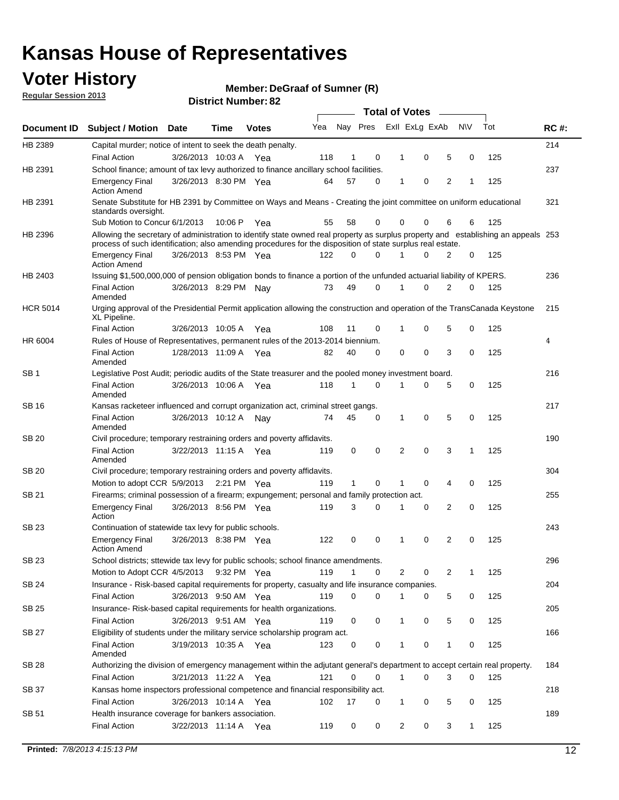### **Voter History**

**Member: DeGraaf of Sumner (R)** 

**Regular Session 2013**

|                 |                                                                                                                                                                                                                                                  |                       |         |              |     |              |          | <b>Total of Votes</b> |   |   |              |     |             |
|-----------------|--------------------------------------------------------------------------------------------------------------------------------------------------------------------------------------------------------------------------------------------------|-----------------------|---------|--------------|-----|--------------|----------|-----------------------|---|---|--------------|-----|-------------|
| Document ID     | <b>Subject / Motion Date</b>                                                                                                                                                                                                                     |                       | Time    | <b>Votes</b> | Yea | Nay Pres     |          | Exll ExLg ExAb        |   |   | <b>NV</b>    | Tot | <b>RC#:</b> |
| HB 2389         | Capital murder; notice of intent to seek the death penalty.                                                                                                                                                                                      |                       |         |              |     |              |          |                       |   |   |              |     | 214         |
|                 | <b>Final Action</b>                                                                                                                                                                                                                              | 3/26/2013 10:03 A     |         | Yea          | 118 | 1            | 0        | 1                     | 0 | 5 | 0            | 125 |             |
| HB 2391         | School finance; amount of tax levy authorized to finance ancillary school facilities.                                                                                                                                                            |                       |         |              |     |              |          |                       |   |   |              |     | 237         |
|                 | <b>Emergency Final</b><br><b>Action Amend</b>                                                                                                                                                                                                    | 3/26/2013 8:30 PM Yea |         |              | 64  | 57           | 0        | 1                     | 0 | 2 | 1            | 125 |             |
| HB 2391         | Senate Substitute for HB 2391 by Committee on Ways and Means - Creating the joint committee on uniform educational<br>standards oversight.                                                                                                       |                       |         |              |     |              |          |                       |   |   |              |     | 321         |
|                 | Sub Motion to Concur 6/1/2013                                                                                                                                                                                                                    |                       | 10:06 P | Yea          | 55  | 58           | 0        | 0                     | 0 | 6 | 6            | 125 |             |
| HB 2396         | Allowing the secretary of administration to identify state owned real property as surplus property and establishing an appeals 253<br>process of such identification; also amending procedures for the disposition of state surplus real estate. |                       |         |              |     |              |          |                       |   |   |              |     |             |
|                 | <b>Emergency Final</b><br>Action Amend                                                                                                                                                                                                           | 3/26/2013 8:53 PM Yea |         |              | 122 | 0            | 0        |                       | 0 | 2 | 0            | 125 |             |
| HB 2403         | Issuing \$1,500,000,000 of pension obligation bonds to finance a portion of the unfunded actuarial liability of KPERS.                                                                                                                           |                       |         |              |     |              |          |                       |   |   |              |     | 236         |
|                 | <b>Final Action</b><br>Amended                                                                                                                                                                                                                   | 3/26/2013 8:29 PM Nay |         |              | 73  | 49           | 0        | 1                     | 0 | 2 | 0            | 125 |             |
| <b>HCR 5014</b> | Urging approval of the Presidential Permit application allowing the construction and operation of the TransCanada Keystone<br>XL Pipeline.                                                                                                       |                       |         |              |     |              |          |                       |   |   |              |     | 215         |
|                 | <b>Final Action</b>                                                                                                                                                                                                                              | 3/26/2013 10:05 A     |         | Yea          | 108 | 11           | 0        |                       | 0 | 5 | 0            | 125 |             |
| HR 6004         | Rules of House of Representatives, permanent rules of the 2013-2014 biennium.                                                                                                                                                                    |                       |         |              |     |              |          |                       |   |   |              |     | 4           |
|                 | <b>Final Action</b><br>Amended                                                                                                                                                                                                                   | 1/28/2013 11:09 A     |         | Yea          | 82  | 40           | 0        | 0                     | 0 | 3 | 0            | 125 |             |
| SB 1            | Legislative Post Audit; periodic audits of the State treasurer and the pooled money investment board.                                                                                                                                            |                       |         |              |     |              |          |                       |   |   |              |     | 216         |
|                 | <b>Final Action</b><br>Amended                                                                                                                                                                                                                   | 3/26/2013 10:06 A     |         | Yea          | 118 | 1            | 0        | 1                     | 0 | 5 | 0            | 125 |             |
| SB 16           | Kansas racketeer influenced and corrupt organization act, criminal street gangs.                                                                                                                                                                 |                       |         |              |     |              |          |                       |   |   |              |     | 217         |
|                 | <b>Final Action</b><br>Amended                                                                                                                                                                                                                   | 3/26/2013 10:12 A Nay |         |              | 74  | 45           | 0        | 1                     | 0 | 5 | 0            | 125 |             |
| SB 20           | Civil procedure; temporary restraining orders and poverty affidavits.                                                                                                                                                                            |                       |         |              |     |              |          |                       |   |   |              |     | 190         |
|                 | <b>Final Action</b><br>Amended                                                                                                                                                                                                                   | 3/22/2013 11:15 A     |         | Yea          | 119 | 0            | 0        | 2                     | 0 | 3 | 1            | 125 |             |
| SB 20           | Civil procedure; temporary restraining orders and poverty affidavits.                                                                                                                                                                            |                       |         |              |     |              |          |                       |   |   |              |     | 304         |
|                 | Motion to adopt CCR 5/9/2013                                                                                                                                                                                                                     |                       |         | 2:21 PM Yea  | 119 | $\mathbf{1}$ | 0        | 1                     | 0 | 4 | 0            | 125 |             |
| SB 21           | Firearms; criminal possession of a firearm; expungement; personal and family protection act.                                                                                                                                                     |                       |         |              |     |              |          |                       |   |   |              |     | 255         |
|                 | <b>Emergency Final</b><br>Action                                                                                                                                                                                                                 | 3/26/2013 8:56 PM Yea |         |              | 119 | 3            | 0        |                       | 0 | 2 | 0            | 125 |             |
| SB 23           | Continuation of statewide tax levy for public schools.                                                                                                                                                                                           |                       |         |              |     |              |          |                       |   |   |              |     | 243         |
|                 | <b>Emergency Final</b><br><b>Action Amend</b>                                                                                                                                                                                                    | 3/26/2013 8:38 PM Yea |         |              | 122 | 0            | 0        | 1                     | 0 | 2 | 0            | 125 |             |
| <b>SB 23</b>    | School districts; sttewide tax levy for public schools; school finance amendments.                                                                                                                                                               |                       |         |              |     |              |          |                       |   |   |              |     | 296         |
|                 | Motion to Adopt CCR 4/5/2013 9:32 PM Yea                                                                                                                                                                                                         |                       |         |              | 119 | 1            | 0        | 2                     | 0 | 2 | 1            | 125 |             |
| <b>SB 24</b>    | Insurance - Risk-based capital requirements for property, casualty and life insurance companies.                                                                                                                                                 |                       |         |              |     |              |          |                       |   |   |              |     | 204         |
|                 | <b>Final Action</b>                                                                                                                                                                                                                              | 3/26/2013 9:50 AM Yea |         |              | 119 | 0            | 0        |                       | 0 | 5 | 0            | 125 |             |
| SB 25           | Insurance-Risk-based capital requirements for health organizations.                                                                                                                                                                              |                       |         |              |     |              |          |                       |   |   |              |     | 205         |
|                 | <b>Final Action</b>                                                                                                                                                                                                                              | 3/26/2013 9:51 AM Yea |         |              | 119 | 0            | 0        | 1                     | 0 | 5 | 0            | 125 |             |
| SB 27           | Eligibility of students under the military service scholarship program act.                                                                                                                                                                      |                       |         |              |     |              |          |                       |   |   |              |     | 166         |
|                 | <b>Final Action</b><br>Amended                                                                                                                                                                                                                   | 3/19/2013 10:35 A Yea |         |              | 123 | 0            | 0        |                       | 0 | 1 | 0            | 125 |             |
| SB 28           | Authorizing the division of emergency management within the adjutant general's department to accept certain real property.                                                                                                                       |                       |         |              |     |              |          |                       |   |   |              |     | 184         |
|                 | <b>Final Action</b>                                                                                                                                                                                                                              | 3/21/2013 11:22 A Yea |         |              | 121 | 0            | $\Omega$ | 1                     | 0 | 3 | $\Omega$     | 125 |             |
| SB 37           | Kansas home inspectors professional competence and financial responsibility act.                                                                                                                                                                 |                       |         |              |     |              |          |                       |   |   |              |     | 218         |
|                 | <b>Final Action</b>                                                                                                                                                                                                                              | 3/26/2013 10:14 A Yea |         |              | 102 | 17           | 0        | 1                     | 0 | 5 | 0            | 125 |             |
| SB 51           | Health insurance coverage for bankers association.                                                                                                                                                                                               |                       |         |              |     |              |          |                       |   |   |              |     | 189         |
|                 | <b>Final Action</b>                                                                                                                                                                                                                              | 3/22/2013 11:14 A Yea |         |              | 119 | 0            | 0        | 2                     | 0 | 3 | $\mathbf{1}$ | 125 |             |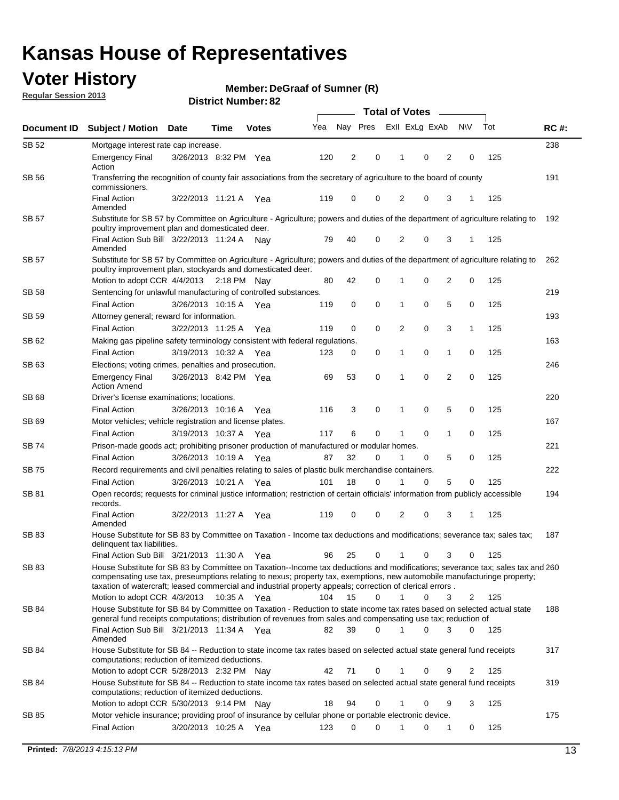### **Voter History**

**Member: DeGraaf of Sumner (R)** 

**Regular Session 2013**

|              |                                                                                                                                                                                                                                                                                                                                                                                                         |                       |             |              |     | <b>Total of Votes</b> |             |                |   |                |             |     |             |  |
|--------------|---------------------------------------------------------------------------------------------------------------------------------------------------------------------------------------------------------------------------------------------------------------------------------------------------------------------------------------------------------------------------------------------------------|-----------------------|-------------|--------------|-----|-----------------------|-------------|----------------|---|----------------|-------------|-----|-------------|--|
| Document ID  | <b>Subject / Motion Date</b>                                                                                                                                                                                                                                                                                                                                                                            |                       | Time        | <b>Votes</b> | Yea | Nay Pres              |             | Exll ExLg ExAb |   |                | <b>NV</b>   | Tot | <b>RC#:</b> |  |
| SB 52        | Mortgage interest rate cap increase.                                                                                                                                                                                                                                                                                                                                                                    |                       |             |              |     |                       |             |                |   |                |             |     | 238         |  |
|              | <b>Emergency Final</b><br>Action                                                                                                                                                                                                                                                                                                                                                                        | 3/26/2013 8:32 PM Yea |             |              | 120 | 2                     | 0           |                | 0 | 2              | 0           | 125 |             |  |
| SB 56        | Transferring the recognition of county fair associations from the secretary of agriculture to the board of county<br>commissioners.                                                                                                                                                                                                                                                                     |                       |             |              |     |                       |             |                |   |                |             |     | 191         |  |
|              | <b>Final Action</b><br>Amended                                                                                                                                                                                                                                                                                                                                                                          | 3/22/2013 11:21 A     |             | Yea          | 119 | 0                     | 0           | 2              | 0 | 3              | 1           | 125 |             |  |
| SB 57        | Substitute for SB 57 by Committee on Agriculture - Agriculture; powers and duties of the department of agriculture relating to<br>poultry improvement plan and domesticated deer.                                                                                                                                                                                                                       |                       |             |              |     |                       |             |                |   |                |             |     | 192         |  |
|              | Final Action Sub Bill 3/22/2013 11:24 A<br>Amended                                                                                                                                                                                                                                                                                                                                                      |                       |             | Nav          | 79  | 40                    | 0           | 2              | 0 | 3              | 1           | 125 |             |  |
| SB 57        | Substitute for SB 57 by Committee on Agriculture - Agriculture; powers and duties of the department of agriculture relating to<br>poultry improvement plan, stockyards and domesticated deer.                                                                                                                                                                                                           |                       |             |              |     |                       |             |                |   |                |             |     | 262         |  |
|              | Motion to adopt CCR 4/4/2013 2:18 PM Nay                                                                                                                                                                                                                                                                                                                                                                |                       |             |              | 80  | 42                    | 0           | 1              | 0 | 2              | 0           | 125 |             |  |
| SB 58        | Sentencing for unlawful manufacturing of controlled substances.                                                                                                                                                                                                                                                                                                                                         |                       |             |              |     |                       |             |                |   |                |             |     | 219         |  |
|              | <b>Final Action</b>                                                                                                                                                                                                                                                                                                                                                                                     | 3/26/2013 10:15 A     |             | Yea          | 119 | 0                     | 0           | 1              | 0 | 5              | 0           | 125 |             |  |
| <b>SB 59</b> | Attorney general; reward for information.                                                                                                                                                                                                                                                                                                                                                               |                       |             |              |     |                       |             |                |   |                |             |     | 193         |  |
|              | <b>Final Action</b>                                                                                                                                                                                                                                                                                                                                                                                     | 3/22/2013 11:25 A     |             | Yea          | 119 | 0                     | 0           | 2              | 0 | 3              | 1           | 125 |             |  |
| SB 62        | Making gas pipeline safety terminology consistent with federal regulations.                                                                                                                                                                                                                                                                                                                             |                       |             |              |     |                       |             |                |   |                |             |     | 163         |  |
|              | <b>Final Action</b>                                                                                                                                                                                                                                                                                                                                                                                     | 3/19/2013 10:32 A     |             | Yea          | 123 | 0                     | 0           | 1              | 0 | 1              | 0           | 125 |             |  |
| SB 63        | Elections; voting crimes, penalties and prosecution.                                                                                                                                                                                                                                                                                                                                                    |                       |             |              |     |                       |             |                |   |                |             |     | 246         |  |
|              | <b>Emergency Final</b><br><b>Action Amend</b>                                                                                                                                                                                                                                                                                                                                                           | 3/26/2013 8:42 PM Yea |             |              | 69  | 53                    | $\mathbf 0$ | 1              | 0 | $\overline{2}$ | $\mathbf 0$ | 125 |             |  |
| SB 68        | Driver's license examinations; locations.                                                                                                                                                                                                                                                                                                                                                               |                       |             |              |     |                       |             |                |   |                |             |     | 220         |  |
|              | <b>Final Action</b>                                                                                                                                                                                                                                                                                                                                                                                     | 3/26/2013 10:16 A     |             | Yea          | 116 | 3                     | 0           | 1              | 0 | 5              | 0           | 125 |             |  |
| SB 69        | Motor vehicles; vehicle registration and license plates.                                                                                                                                                                                                                                                                                                                                                |                       |             |              |     |                       |             |                |   |                |             |     | 167         |  |
|              | <b>Final Action</b>                                                                                                                                                                                                                                                                                                                                                                                     | 3/19/2013 10:37 A     |             | Yea          | 117 | 6                     | 0           | 1              | 0 | $\mathbf{1}$   | 0           | 125 |             |  |
| SB 74        | Prison-made goods act; prohibiting prisoner production of manufactured or modular homes.                                                                                                                                                                                                                                                                                                                |                       |             |              |     |                       |             |                |   |                |             |     | 221         |  |
|              | <b>Final Action</b>                                                                                                                                                                                                                                                                                                                                                                                     | 3/26/2013 10:19 A     |             | Yea          | 87  | 32                    | 0           | 1              | 0 | 5              | 0           | 125 |             |  |
| SB 75        | Record requirements and civil penalties relating to sales of plastic bulk merchandise containers.                                                                                                                                                                                                                                                                                                       |                       |             |              |     | 18                    | 0           | 1              | 0 | 5              | 0           | 125 | 222         |  |
|              | <b>Final Action</b>                                                                                                                                                                                                                                                                                                                                                                                     | 3/26/2013 10:21 A     |             | Yea          | 101 |                       |             |                |   |                |             |     |             |  |
| SB 81        | Open records; requests for criminal justice information; restriction of certain officials' information from publicly accessible<br>records.<br><b>Final Action</b>                                                                                                                                                                                                                                      | 3/22/2013 11:27 A     |             |              | 119 | 0                     | 0           | 2              | 0 | 3              | 1           | 125 | 194         |  |
|              | Amended                                                                                                                                                                                                                                                                                                                                                                                                 |                       |             | Yea          |     |                       |             |                |   |                |             |     |             |  |
| <b>SB 83</b> | House Substitute for SB 83 by Committee on Taxation - Income tax deductions and modifications; severance tax; sales tax;<br>delinquent tax liabilities.                                                                                                                                                                                                                                                 |                       |             |              |     |                       |             |                |   |                |             |     | 187         |  |
|              | Final Action Sub Bill 3/21/2013 11:30 A Yea                                                                                                                                                                                                                                                                                                                                                             |                       |             |              | 96  | 25                    | 0           | 1              | 0 | 3              | 0           | 125 |             |  |
| SB 83        | House Substitute for SB 83 by Committee on Taxation--Income tax deductions and modifications; severance tax; sales tax and 260<br>compensating use tax, preseumptions relating to nexus; property tax, exemptions, new automobile manufacturinge property;<br>taxation of watercraft; leased commercial and industrial property appeals; correction of clerical errors.<br>Motion to adopt CCR 4/3/2013 |                       | 10:35 A Yea |              | 104 | 15                    | 0           | $\mathbf{1}$   | 0 | 3              | 2           | 125 |             |  |
| SB 84        | House Substitute for SB 84 by Committee on Taxation - Reduction to state income tax rates based on selected actual state                                                                                                                                                                                                                                                                                |                       |             |              |     |                       |             |                |   |                |             |     | 188         |  |
|              | general fund receipts computations; distribution of revenues from sales and compensating use tax; reduction of<br>Final Action Sub Bill 3/21/2013 11:34 A Yea                                                                                                                                                                                                                                           |                       |             |              | 82  | 39                    | $\Omega$    |                | 0 | 3              | $\Omega$    | 125 |             |  |
|              | Amended                                                                                                                                                                                                                                                                                                                                                                                                 |                       |             |              |     |                       |             |                |   |                |             |     |             |  |
| SB 84        | House Substitute for SB 84 -- Reduction to state income tax rates based on selected actual state general fund receipts<br>computations; reduction of itemized deductions.                                                                                                                                                                                                                               |                       |             |              |     |                       |             |                |   |                |             |     | 317         |  |
|              | Motion to adopt CCR 5/28/2013 2:32 PM Nav                                                                                                                                                                                                                                                                                                                                                               |                       |             |              | 42  | 71                    | 0           |                | 0 | 9              | 2           | 125 |             |  |
| SB 84        | House Substitute for SB 84 -- Reduction to state income tax rates based on selected actual state general fund receipts<br>computations; reduction of itemized deductions.                                                                                                                                                                                                                               |                       |             |              |     |                       |             |                |   |                | 3           |     | 319         |  |
|              | Motion to adopt CCR 5/30/2013 9:14 PM Nay                                                                                                                                                                                                                                                                                                                                                               |                       |             |              | 18  | 94                    | 0           |                | 0 | 9              |             | 125 |             |  |
| SB 85        | Motor vehicle insurance; providing proof of insurance by cellular phone or portable electronic device.                                                                                                                                                                                                                                                                                                  |                       |             |              |     | 0                     | $\Omega$    |                | 0 |                | 0           | 125 | 175         |  |
|              | <b>Final Action</b>                                                                                                                                                                                                                                                                                                                                                                                     | 3/20/2013 10:25 A Yea |             |              | 123 |                       |             |                |   | 1              |             |     |             |  |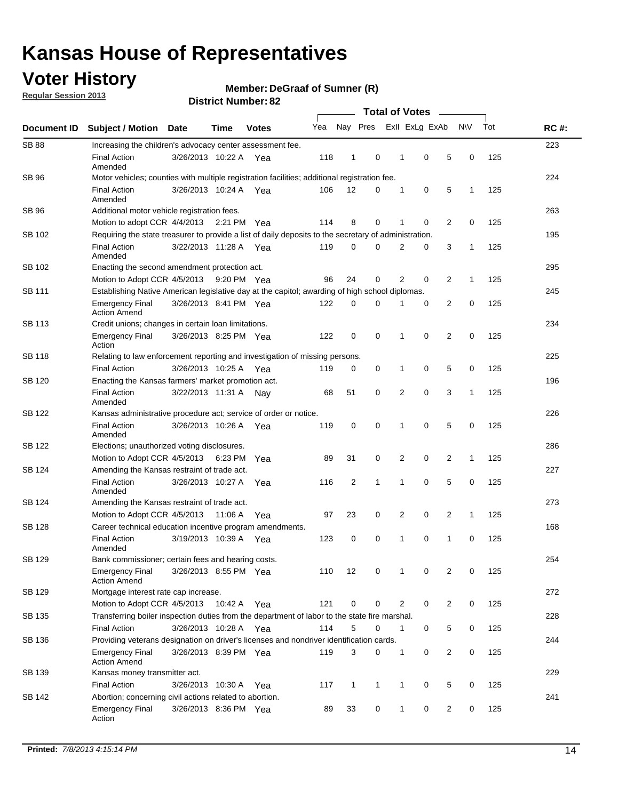### **Voter History**

**Regular Session 2013**

**Member: DeGraaf of Sumner (R)** 

|                    |                                                                                                       | <b>ביט הייטוווועדו ויטו</b> ווע |             |              | <b>Total of Votes</b> |                         |              |  |                |   |                |              |     |             |
|--------------------|-------------------------------------------------------------------------------------------------------|---------------------------------|-------------|--------------|-----------------------|-------------------------|--------------|--|----------------|---|----------------|--------------|-----|-------------|
| <b>Document ID</b> | <b>Subject / Motion Date</b>                                                                          |                                 | <b>Time</b> | <b>Votes</b> | Yea                   | Nay Pres Exll ExLg ExAb |              |  |                |   |                | <b>NV</b>    | Tot | <b>RC#:</b> |
| <b>SB 88</b>       | Increasing the children's advocacy center assessment fee.                                             |                                 |             |              |                       |                         |              |  |                |   |                |              |     | 223         |
|                    | <b>Final Action</b><br>Amended                                                                        | 3/26/2013 10:22 A Yea           |             |              | 118                   | $\mathbf{1}$            | 0            |  | $\mathbf 1$    | 0 | 5              | 0            | 125 |             |
| SB 96              | Motor vehicles; counties with multiple registration facilities; additional registration fee.          |                                 |             |              |                       |                         |              |  |                |   |                |              |     | 224         |
|                    | <b>Final Action</b><br>Amended                                                                        | 3/26/2013 10:24 A               |             | Yea          | 106                   | 12                      | 0            |  | 1              | 0 | 5              | $\mathbf{1}$ | 125 |             |
| SB 96              | Additional motor vehicle registration fees.                                                           |                                 |             |              |                       |                         |              |  |                |   |                |              |     | 263         |
|                    | Motion to adopt CCR 4/4/2013 2:21 PM Yea                                                              |                                 |             |              | 114                   | 8                       | 0            |  | 1              | 0 | 2              | 0            | 125 |             |
| SB 102             | Requiring the state treasurer to provide a list of daily deposits to the secretary of administration. |                                 |             |              |                       |                         |              |  |                |   |                |              |     | 195         |
|                    | <b>Final Action</b><br>Amended                                                                        | 3/22/2013 11:28 A Yea           |             |              | 119                   | 0                       | 0            |  | 2              | 0 | 3              | 1            | 125 |             |
| SB 102             | Enacting the second amendment protection act.                                                         |                                 |             |              |                       |                         |              |  |                |   |                |              |     | 295         |
|                    | Motion to Adopt CCR 4/5/2013 9:20 PM Yea                                                              |                                 |             |              | 96                    | 24                      | 0            |  | 2              | 0 | 2              | 1            | 125 |             |
| SB 111             | Establishing Native American legislative day at the capitol; awarding of high school diplomas.        |                                 |             |              |                       |                         |              |  |                |   |                |              |     | 245         |
|                    | <b>Emergency Final</b><br><b>Action Amend</b>                                                         | 3/26/2013 8:41 PM Yea           |             |              | 122                   | 0                       | $\Omega$     |  |                | 0 | 2              | 0            | 125 |             |
| SB 113             | Credit unions; changes in certain loan limitations.                                                   |                                 |             |              |                       |                         |              |  |                |   |                |              |     | 234         |
|                    | <b>Emergency Final</b><br>Action                                                                      | 3/26/2013 8:25 PM Yea           |             |              | 122                   | 0                       | $\mathbf 0$  |  | 1              | 0 | $\overline{2}$ | $\mathbf 0$  | 125 |             |
| <b>SB 118</b>      | Relating to law enforcement reporting and investigation of missing persons.                           |                                 |             |              |                       |                         |              |  |                |   |                |              |     | 225         |
|                    | <b>Final Action</b>                                                                                   | 3/26/2013 10:25 A               |             | Yea          | 119                   | 0                       | 0            |  | 1              | 0 | 5              | 0            | 125 |             |
| <b>SB 120</b>      | Enacting the Kansas farmers' market promotion act.                                                    |                                 |             |              |                       |                         |              |  |                |   |                |              |     | 196         |
|                    | <b>Final Action</b><br>Amended                                                                        | 3/22/2013 11:31 A               |             | Nav          | 68                    | 51                      | 0            |  | $\overline{2}$ | 0 | 3              | $\mathbf{1}$ | 125 |             |
| SB 122             | Kansas administrative procedure act; service of order or notice.                                      |                                 |             |              |                       |                         |              |  |                |   |                |              |     | 226         |
|                    | <b>Final Action</b><br>Amended                                                                        | 3/26/2013 10:26 A Yea           |             |              | 119                   | 0                       | 0            |  | 1              | 0 | 5              | 0            | 125 |             |
| <b>SB 122</b>      | Elections; unauthorized voting disclosures.                                                           |                                 |             |              |                       |                         |              |  |                |   |                |              |     | 286         |
|                    | Motion to Adopt CCR 4/5/2013                                                                          |                                 | 6:23 PM     | Yea          | 89                    | 31                      | 0            |  | 2              | 0 | 2              | $\mathbf{1}$ | 125 |             |
| SB 124             | Amending the Kansas restraint of trade act.                                                           |                                 |             |              |                       |                         |              |  |                |   |                |              |     | 227         |
|                    | <b>Final Action</b><br>Amended                                                                        | 3/26/2013 10:27 A               |             | Yea          | 116                   | 2                       | 1            |  | 1              | 0 | 5              | 0            | 125 |             |
| SB 124             | Amending the Kansas restraint of trade act.                                                           |                                 |             |              |                       |                         |              |  |                |   |                |              |     | 273         |
|                    | Motion to Adopt CCR 4/5/2013                                                                          |                                 | 11:06 A     | Yea          | 97                    | 23                      | 0            |  | 2              | 0 | $\overline{2}$ | 1            | 125 |             |
| SB 128             | Career technical education incentive program amendments.                                              |                                 |             |              |                       |                         |              |  |                |   |                |              |     | 168         |
|                    | <b>Final Action</b><br>Amended                                                                        | 3/19/2013 10:39 A               |             | Yea          | 123                   | 0                       | 0            |  | 1              | 0 | 1              | 0            | 125 |             |
| SB 129             | Bank commissioner; certain fees and hearing costs.                                                    |                                 |             |              |                       |                         |              |  |                |   |                |              |     | 254         |
|                    | <b>Emergency Final</b><br><b>Action Amend</b>                                                         | 3/26/2013 8:55 PM Yea           |             |              | 110                   | 12                      | 0            |  | 1              | 0 | 2              | 0            | 125 |             |
| SB 129             | Mortgage interest rate cap increase.                                                                  |                                 |             |              |                       |                         |              |  |                |   |                |              |     | 272         |
|                    | Motion to Adopt CCR 4/5/2013 10:42 A Yea                                                              |                                 |             |              | 121                   | 0                       | 0            |  | 2              | 0 | $\overline{2}$ | 0            | 125 |             |
| SB 135             | Transferring boiler inspection duties from the department of labor to the state fire marshal.         |                                 |             |              |                       |                         |              |  |                |   |                |              |     | 228         |
|                    | <b>Final Action</b>                                                                                   | 3/26/2013 10:28 A Yea           |             |              | 114                   | 5                       | 0            |  | 1              | 0 | 5              | 0            | 125 |             |
| SB 136             | Providing veterans designation on driver's licenses and nondriver identification cards.               |                                 |             |              |                       |                         |              |  |                |   |                |              |     | 244         |
|                    | <b>Emergency Final</b><br><b>Action Amend</b>                                                         | 3/26/2013 8:39 PM Yea           |             |              | 119                   | 3                       | 0            |  | $\mathbf{1}$   | 0 | 2              | 0            | 125 |             |
| SB 139             | Kansas money transmitter act.                                                                         |                                 |             |              |                       |                         |              |  |                |   |                |              |     | 229         |
|                    | <b>Final Action</b>                                                                                   | 3/26/2013 10:30 A               |             | Yea          | 117                   | $\mathbf{1}$            | $\mathbf{1}$ |  | 1              | 0 | 5              | 0            | 125 |             |
| SB 142             | Abortion; concerning civil actions related to abortion.                                               |                                 |             |              |                       |                         |              |  |                |   |                |              |     | 241         |
|                    | <b>Emergency Final</b><br>Action                                                                      | 3/26/2013 8:36 PM Yea           |             |              | 89                    | 33                      | 0            |  | 1              | 0 | $\overline{2}$ | 0            | 125 |             |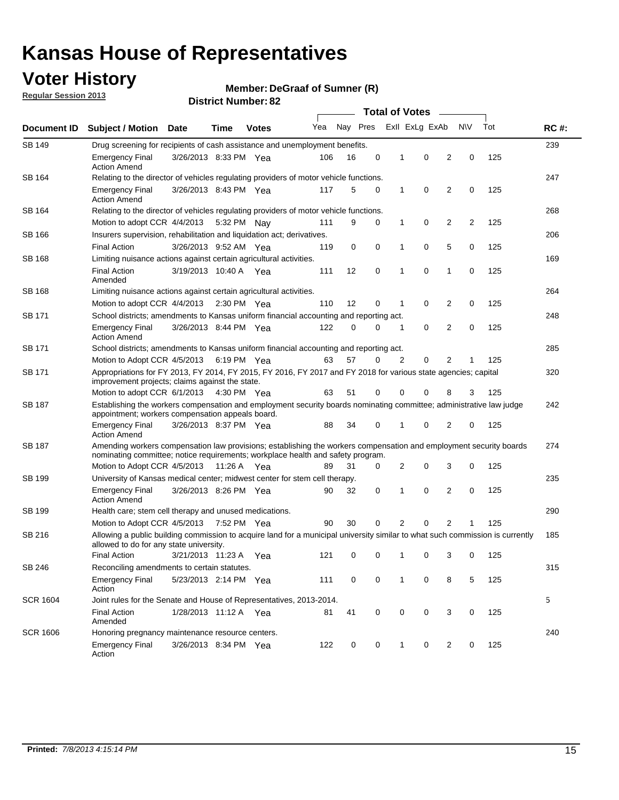### **Voter History**

**Member: DeGraaf of Sumner (R)** 

**Regular Session 2013**

| Document ID     |                                                                                                                                                                                                       |                                                                                         |             |              |     |          | <b>Total of Votes</b> |   |                | $\sim$         |           |     | <b>RC#:</b> |  |  |  |  |
|-----------------|-------------------------------------------------------------------------------------------------------------------------------------------------------------------------------------------------------|-----------------------------------------------------------------------------------------|-------------|--------------|-----|----------|-----------------------|---|----------------|----------------|-----------|-----|-------------|--|--|--|--|
|                 | <b>Subject / Motion Date</b>                                                                                                                                                                          |                                                                                         | Time        | <b>Votes</b> | Yea | Nay Pres |                       |   | Exll ExLg ExAb |                | <b>NV</b> | Tot |             |  |  |  |  |
| <b>SB 149</b>   |                                                                                                                                                                                                       | Drug screening for recipients of cash assistance and unemployment benefits.             |             |              |     |          |                       |   |                |                |           |     |             |  |  |  |  |
|                 | <b>Emergency Final</b><br><b>Action Amend</b>                                                                                                                                                         | 3/26/2013 8:33 PM Yea                                                                   |             |              | 106 | 16       | 0                     | 1 | 0              | 2              | 0         | 125 |             |  |  |  |  |
| SB 164          | Relating to the director of vehicles regulating providers of motor vehicle functions.                                                                                                                 |                                                                                         |             |              |     |          |                       |   |                |                |           |     | 247         |  |  |  |  |
|                 | <b>Emergency Final</b><br><b>Action Amend</b>                                                                                                                                                         | 3/26/2013 8:43 PM Yea                                                                   |             |              | 117 | 5        | 0                     | 1 | 0              | 2              | 0         | 125 |             |  |  |  |  |
| SB 164          | Relating to the director of vehicles regulating providers of motor vehicle functions.                                                                                                                 |                                                                                         |             |              |     |          |                       |   |                |                |           |     | 268         |  |  |  |  |
|                 |                                                                                                                                                                                                       | 0<br>Motion to adopt CCR 4/4/2013<br>9<br>0<br>1<br>2<br>2<br>125<br>5:32 PM Nay<br>111 |             |              |     |          |                       |   |                |                |           |     |             |  |  |  |  |
| SB 166          | Insurers supervision, rehabilitation and liquidation act; derivatives.                                                                                                                                |                                                                                         |             |              |     |          |                       |   |                |                |           |     | 206         |  |  |  |  |
|                 | <b>Final Action</b>                                                                                                                                                                                   | 3/26/2013 9:52 AM Yea                                                                   |             |              | 119 | 0        | 0                     | 1 | 0              | 5              | 0         | 125 |             |  |  |  |  |
| SB 168          | Limiting nuisance actions against certain agricultural activities.                                                                                                                                    |                                                                                         |             |              |     |          |                       |   |                |                |           |     | 169         |  |  |  |  |
|                 | <b>Final Action</b><br>Amended                                                                                                                                                                        | 3/19/2013 10:40 A Yea                                                                   |             |              | 111 | 12       | 0                     | 1 | 0              | 1              | 0         | 125 |             |  |  |  |  |
| SB 168          | Limiting nuisance actions against certain agricultural activities.                                                                                                                                    |                                                                                         |             |              |     |          |                       |   |                |                |           |     | 264         |  |  |  |  |
|                 | Motion to adopt CCR 4/4/2013                                                                                                                                                                          |                                                                                         |             | 2:30 PM Yea  | 110 | 12       | 0                     | 1 | 0              | 2              | 0         | 125 |             |  |  |  |  |
| <b>SB 171</b>   | School districts; amendments to Kansas uniform financial accounting and reporting act.                                                                                                                |                                                                                         |             |              |     |          |                       |   |                |                |           |     | 248         |  |  |  |  |
|                 | <b>Emergency Final</b><br><b>Action Amend</b>                                                                                                                                                         | 3/26/2013 8:44 PM Yea                                                                   |             |              | 122 | 0        | 0                     | 1 | 0              | 2              | 0         | 125 |             |  |  |  |  |
| SB 171          |                                                                                                                                                                                                       | School districts; amendments to Kansas uniform financial accounting and reporting act.  |             |              |     |          |                       |   |                |                |           |     | 285         |  |  |  |  |
|                 | Motion to Adopt CCR 4/5/2013                                                                                                                                                                          |                                                                                         | 6:19 PM Yea |              | 63  | 57       | 0                     | 2 | 0<br>2<br>125  |                |           |     |             |  |  |  |  |
| SB 171          | Appropriations for FY 2013, FY 2014, FY 2015, FY 2016, FY 2017 and FY 2018 for various state agencies; capital<br>improvement projects; claims against the state.                                     |                                                                                         |             |              |     |          |                       |   |                |                |           | 320 |             |  |  |  |  |
|                 | Motion to adopt CCR 6/1/2013 4:30 PM Yea                                                                                                                                                              |                                                                                         |             |              | 63  | 51       | 0                     | 0 | 0              | 8              | 3         | 125 |             |  |  |  |  |
| SB 187          | Establishing the workers compensation and employment security boards nominating committee; administrative law judge<br>appointment; workers compensation appeals board.                               |                                                                                         |             |              |     |          |                       |   |                |                |           |     | 242         |  |  |  |  |
|                 | <b>Emergency Final</b><br><b>Action Amend</b>                                                                                                                                                         | 3/26/2013 8:37 PM Yea                                                                   |             |              | 88  | 34       | 0                     | 1 | 0              | 2              | 0         | 125 |             |  |  |  |  |
| SB 187          | Amending workers compensation law provisions; establishing the workers compensation and employment security boards<br>nominating committee; notice requirements; workplace health and safety program. |                                                                                         |             |              |     |          |                       |   |                |                |           |     | 274         |  |  |  |  |
|                 | Motion to Adopt CCR 4/5/2013 11:26 A Yea                                                                                                                                                              |                                                                                         |             |              | 89  | 31       | 0                     | 2 | 0              | 3              | 0         | 125 |             |  |  |  |  |
| SB 199          | University of Kansas medical center; midwest center for stem cell therapy.                                                                                                                            |                                                                                         |             |              |     |          |                       |   |                |                |           |     | 235         |  |  |  |  |
|                 | <b>Emergency Final</b><br><b>Action Amend</b>                                                                                                                                                         | 3/26/2013 8:26 PM Yea                                                                   |             |              | 90  | 32       | 0                     | 1 | 0              | 2              | 0         | 125 |             |  |  |  |  |
| SB 199          | Health care; stem cell therapy and unused medications.                                                                                                                                                |                                                                                         |             |              |     |          |                       |   |                |                |           |     | 290         |  |  |  |  |
|                 | Motion to Adopt CCR 4/5/2013                                                                                                                                                                          |                                                                                         | 7:52 PM Yea |              | 90  | 30       | 0                     | 2 | 0              | $\overline{2}$ | 1         | 125 |             |  |  |  |  |
| SB 216          | Allowing a public building commission to acquire land for a municipal university similar to what such commission is currently<br>allowed to do for any state university.                              |                                                                                         |             |              |     |          |                       |   |                |                |           |     | 185         |  |  |  |  |
|                 | <b>Final Action</b>                                                                                                                                                                                   | 3/21/2013 11:23 A Yea                                                                   |             |              | 121 | 0        | 0                     | 1 | 0              | 3              | 0         | 125 |             |  |  |  |  |
| SB 246          | Reconciling amendments to certain statutes.                                                                                                                                                           |                                                                                         |             |              |     |          |                       |   |                |                |           |     | 315         |  |  |  |  |
|                 | <b>Emergency Final</b><br>Action                                                                                                                                                                      | 5/23/2013 2:14 PM Yea                                                                   |             |              | 111 | 0        | 0                     | 1 | 0              | 8              | 5         | 125 |             |  |  |  |  |
| <b>SCR 1604</b> | Joint rules for the Senate and House of Representatives, 2013-2014.                                                                                                                                   |                                                                                         |             |              |     |          |                       |   |                |                |           |     | 5           |  |  |  |  |
|                 | <b>Final Action</b><br>Amended                                                                                                                                                                        | 1/28/2013 11:12 A Yea                                                                   |             |              | 81  | 41       | 0                     | 0 | 0              | 3              | 0         | 125 |             |  |  |  |  |
| <b>SCR 1606</b> | Honoring pregnancy maintenance resource centers.                                                                                                                                                      |                                                                                         |             |              |     |          |                       |   |                |                |           |     | 240         |  |  |  |  |
|                 | <b>Emergency Final</b><br>Action                                                                                                                                                                      | 3/26/2013 8:34 PM Yea                                                                   |             |              | 122 | 0        | 0                     | 1 | 0              | 2              | 0         | 125 |             |  |  |  |  |